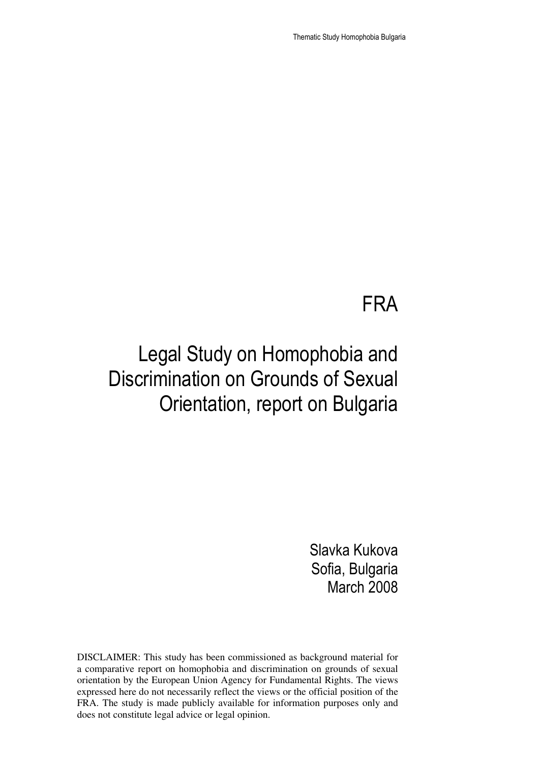Thematic Study Homophobia Bulgaria

## FRA

# Legal Study on Homophobia and Discrimination on Grounds of Sexual Orientation, report on Bulgaria

Slavka Kukova Sofia, Bulgaria March 2008

DISCLAIMER: This study has been commissioned as background material for a comparative report on homophobia and discrimination on grounds of sexual orientation by the European Union Agency for Fundamental Rights. The views expressed here do not necessarily reflect the views or the official position of the FRA. The study is made publicly available for information purposes only and does not constitute legal advice or legal opinion.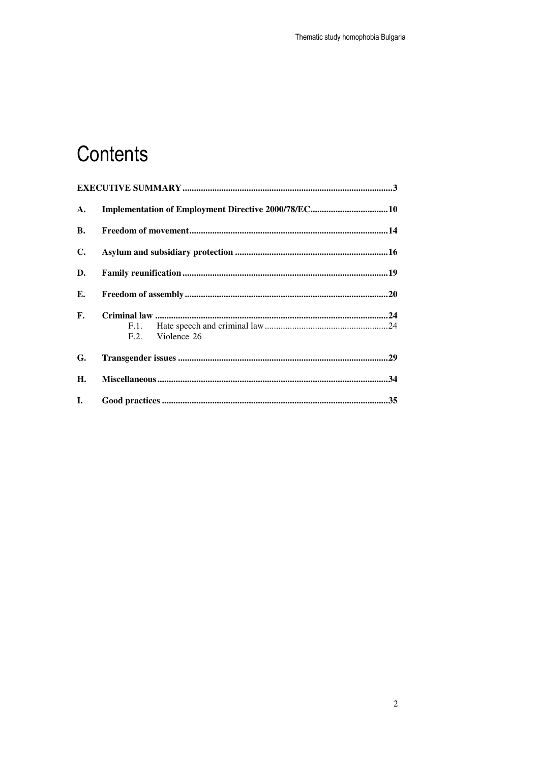# Contents

| A.             |                  |  |
|----------------|------------------|--|
| В.             |                  |  |
| $\mathbf{C}$ . |                  |  |
| D.             |                  |  |
| Е.             |                  |  |
| F.             |                  |  |
|                |                  |  |
|                | F.2. Violence 26 |  |
| G.             |                  |  |
| Н.             |                  |  |
| I.             |                  |  |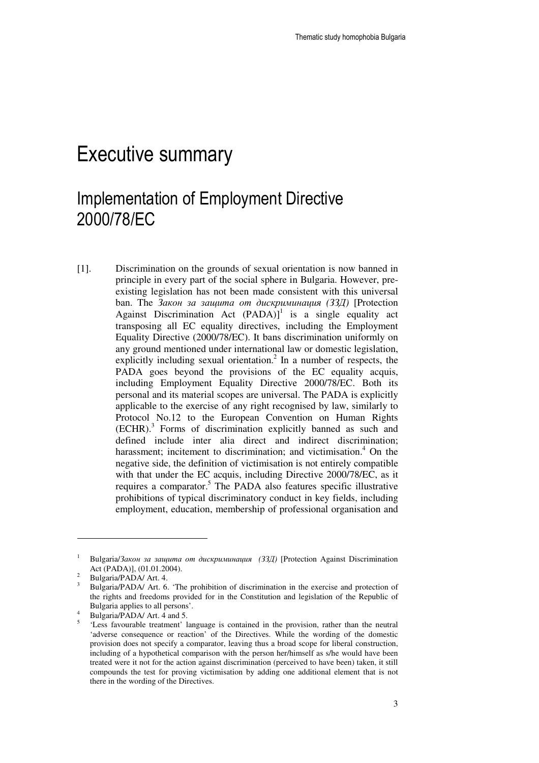## Executive summary

### Implementation of Employment Directive 2000/78/EC

[1]. Discrimination on the grounds of sexual orientation is now banned in principle in every part of the social sphere in Bulgaria. However, preexisting legislation has not been made consistent with this universal ban. The Закон за защита от дискриминация *(*ЗЗД*)* [Protection Against Discrimination Act  $(PADA)$ <sup>1</sup> is a single equality act transposing all EC equality directives, including the Employment Equality Directive (2000/78/EC). It bans discrimination uniformly on any ground mentioned under international law or domestic legislation, explicitly including sexual orientation.<sup>2</sup> In a number of respects, the PADA goes beyond the provisions of the EC equality acquis, including Employment Equality Directive 2000/78/EC. Both its personal and its material scopes are universal. The PADA is explicitly applicable to the exercise of any right recognised by law, similarly to Protocol No.12 to the European Convention on Human Rights (ECHR).<sup>3</sup> Forms of discrimination explicitly banned as such and defined include inter alia direct and indirect discrimination; harassment; incitement to discrimination; and victimisation.<sup>4</sup> On the negative side, the definition of victimisation is not entirely compatible with that under the EC acquis, including Directive 2000/78/EC, as it requires a comparator.<sup>5</sup> The PADA also features specific illustrative prohibitions of typical discriminatory conduct in key fields, including employment, education, membership of professional organisation and

<sup>1</sup> Bulgaria/Закон за защита от дискриминация *(*ЗЗД*)* [Protection Against Discrimination Act (PADA)], (01.01.2004).

<sup>2</sup> Bulgaria/PADA/ Art. 4.

<sup>3</sup> Bulgaria/PADA/ Art. 6. 'The prohibition of discrimination in the exercise and protection of the rights and freedoms provided for in the Constitution and legislation of the Republic of Bulgaria applies to all persons'.

<sup>4</sup> Bulgaria/PADA/ Art. 4 and 5.

<sup>5</sup> 'Less favourable treatment' language is contained in the provision, rather than the neutral 'adverse consequence or reaction' of the Directives. While the wording of the domestic provision does not specify a comparator, leaving thus a broad scope for liberal construction, including of a hypothetical comparison with the person her/himself as s/he would have been treated were it not for the action against discrimination (perceived to have been) taken, it still compounds the test for proving victimisation by adding one additional element that is not there in the wording of the Directives.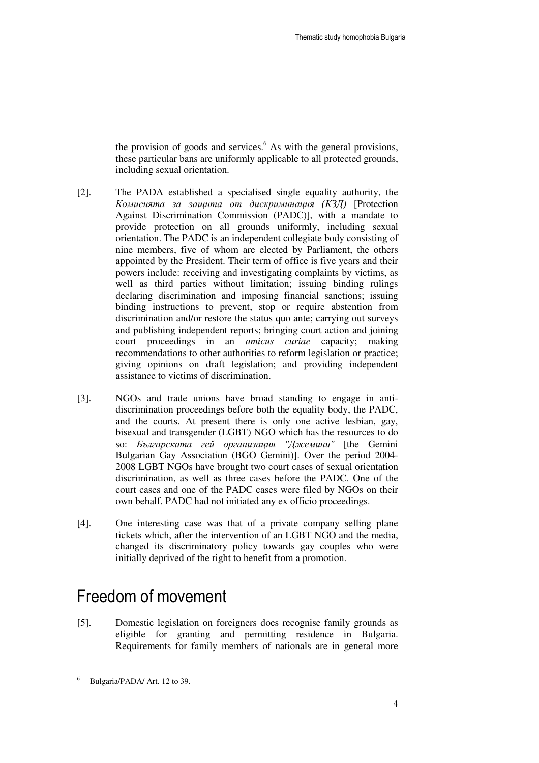the provision of goods and services. $<sup>6</sup>$  As with the general provisions,</sup> these particular bans are uniformly applicable to all protected grounds, including sexual orientation.

- [2]. The PADA established a specialised single equality authority, the Комисията за защита от дискриминация *(*КЗД*)* [Protection Against Discrimination Commission (PADC)], with a mandate to provide protection on all grounds uniformly, including sexual orientation. The PADC is an independent collegiate body consisting of nine members, five of whom are elected by Parliament, the others appointed by the President. Their term of office is five years and their powers include: receiving and investigating complaints by victims, as well as third parties without limitation; issuing binding rulings declaring discrimination and imposing financial sanctions; issuing binding instructions to prevent, stop or require abstention from discrimination and/or restore the status quo ante; carrying out surveys and publishing independent reports; bringing court action and joining court proceedings in an *amicus curiae* capacity; making recommendations to other authorities to reform legislation or practice; giving opinions on draft legislation; and providing independent assistance to victims of discrimination.
- [3]. NGOs and trade unions have broad standing to engage in antidiscrimination proceedings before both the equality body, the PADC, and the courts. At present there is only one active lesbian, gay, bisexual and transgender (LGBT) NGO which has the resources to do so: Българската гей организация *"*Джемини*"* [the Gemini Bulgarian Gay Association (BGO Gemini)]. Over the period 2004- 2008 LGBT NGOs have brought two court cases of sexual orientation discrimination, as well as three cases before the PADC. One of the court cases and one of the PADC cases were filed by NGOs on their own behalf. PADC had not initiated any ex officio proceedings.
- [4]. One interesting case was that of a private company selling plane tickets which, after the intervention of an LGBT NGO and the media, changed its discriminatory policy towards gay couples who were initially deprived of the right to benefit from a promotion.

### Freedom of movement

[5]. Domestic legislation on foreigners does recognise family grounds as eligible for granting and permitting residence in Bulgaria. Requirements for family members of nationals are in general more

<sup>6</sup> Bulgaria/PADA/ Art. 12 to 39.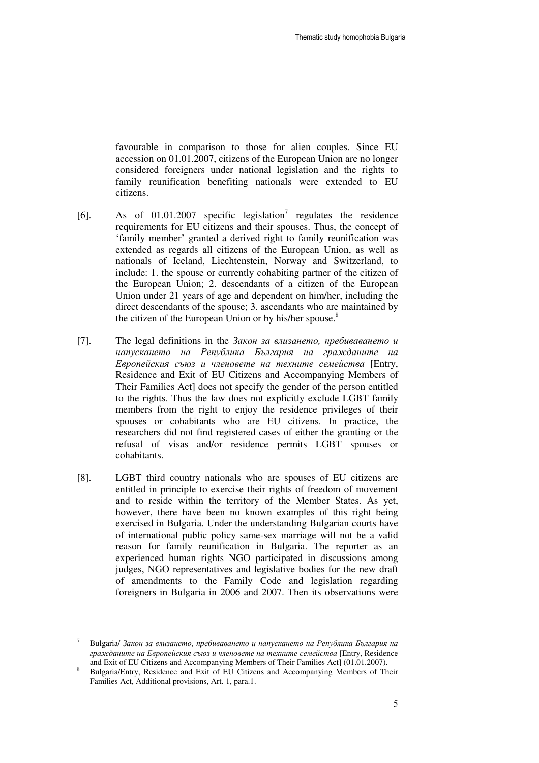favourable in comparison to those for alien couples. Since EU accession on 01.01.2007, citizens of the European Union are no longer considered foreigners under national legislation and the rights to family reunification benefiting nationals were extended to EU citizens.

- [6]. As of  $01.01.2007$  specific legislation<sup>7</sup> regulates the residence requirements for EU citizens and their spouses. Thus, the concept of 'family member' granted a derived right to family reunification was extended as regards all citizens of the European Union, as well as nationals of Iceland, Liechtenstein, Norway and Switzerland, to include: 1. the spouse or currently cohabiting partner of the citizen of the European Union; 2. descendants of a citizen of the European Union under 21 years of age and dependent on him/her, including the direct descendants of the spouse; 3. ascendants who are maintained by the citizen of the European Union or by his/her spouse.<sup>8</sup>
- [7]. The legal definitions in the Закон за влизането*,* пребиваването и напускането на Република България на гражданите на Европейския съюз и членовете на техните семейства [Entry, Residence and Exit of EU Citizens and Accompanying Members of Their Families Act] does not specify the gender of the person entitled to the rights. Thus the law does not explicitly exclude LGBT family members from the right to enjoy the residence privileges of their spouses or cohabitants who are EU citizens. In practice, the researchers did not find registered cases of either the granting or the refusal of visas and/or residence permits LGBT spouses or cohabitants.
- [8]. LGBT third country nationals who are spouses of EU citizens are entitled in principle to exercise their rights of freedom of movement and to reside within the territory of the Member States. As yet, however, there have been no known examples of this right being exercised in Bulgaria. Under the understanding Bulgarian courts have of international public policy same-sex marriage will not be a valid reason for family reunification in Bulgaria. The reporter as an experienced human rights NGO participated in discussions among judges, NGO representatives and legislative bodies for the new draft of amendments to the Family Code and legislation regarding foreigners in Bulgaria in 2006 and 2007. Then its observations were

<sup>7</sup> Bulgaria/ Закон за влизането*,* пребиваването и напускането на Република България на гражданите на Европейския съюз и членовете на техните семейства [Entry, Residence and Exit of EU Citizens and Accompanying Members of Their Families Act] (01.01.2007).

<sup>8</sup> Bulgaria/Entry, Residence and Exit of EU Citizens and Accompanying Members of Their Families Act, Additional provisions, Art. 1, para.1.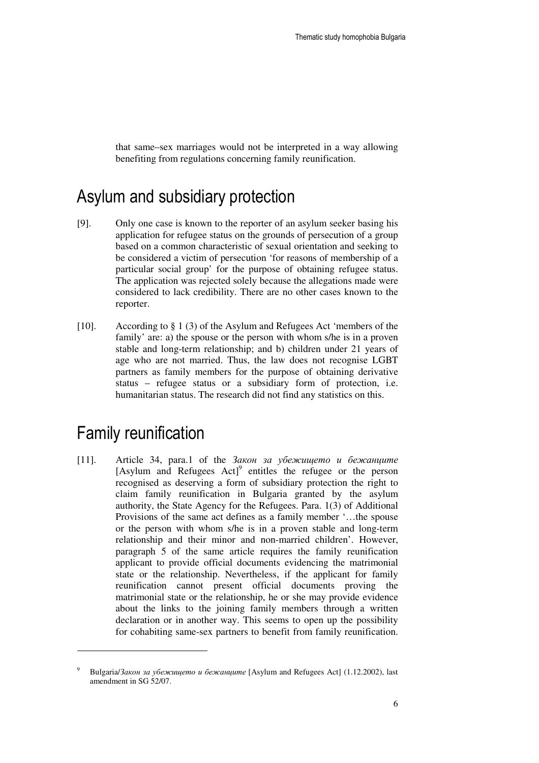that same–sex marriages would not be interpreted in a way allowing benefiting from regulations concerning family reunification.

### Asylum and subsidiary protection

- [9]. Only one case is known to the reporter of an asylum seeker basing his application for refugee status on the grounds of persecution of a group based on a common characteristic of sexual orientation and seeking to be considered a victim of persecution 'for reasons of membership of a particular social group' for the purpose of obtaining refugee status. The application was rejected solely because the allegations made were considered to lack credibility. There are no other cases known to the reporter.
- [10]. According to § 1 (3) of the Asylum and Refugees Act 'members of the family' are: a) the spouse or the person with whom s/he is in a proven stable and long-term relationship; and b) children under 21 years of age who are not married. Thus, the law does not recognise LGBT partners as family members for the purpose of obtaining derivative status – refugee status or a subsidiary form of protection, i.e. humanitarian status. The research did not find any statistics on this.

### Family reunification

 $\overline{a}$ 

[11]. Article 34, para.1 of the  $3a$ кон за убежището и бежанците [Asylum and Refugees Act]<sup>9</sup> entitles the refugee or the person recognised as deserving a form of subsidiary protection the right to claim family reunification in Bulgaria granted by the asylum authority, the State Agency for the Refugees. Para. 1(3) of Additional Provisions of the same act defines as a family member '…the spouse or the person with whom s/he is in a proven stable and long-term relationship and their minor and non-married children'. However, paragraph 5 of the same article requires the family reunification applicant to provide official documents evidencing the matrimonial state or the relationship. Nevertheless, if the applicant for family reunification cannot present official documents proving the matrimonial state or the relationship, he or she may provide evidence about the links to the joining family members through a written declaration or in another way. This seems to open up the possibility for cohabiting same-sex partners to benefit from family reunification.

<sup>9</sup> Bulgaria/Закон за убежището и бежанците [Asylum and Refugees Act] (1.12.2002), last amendment in SG 52/07.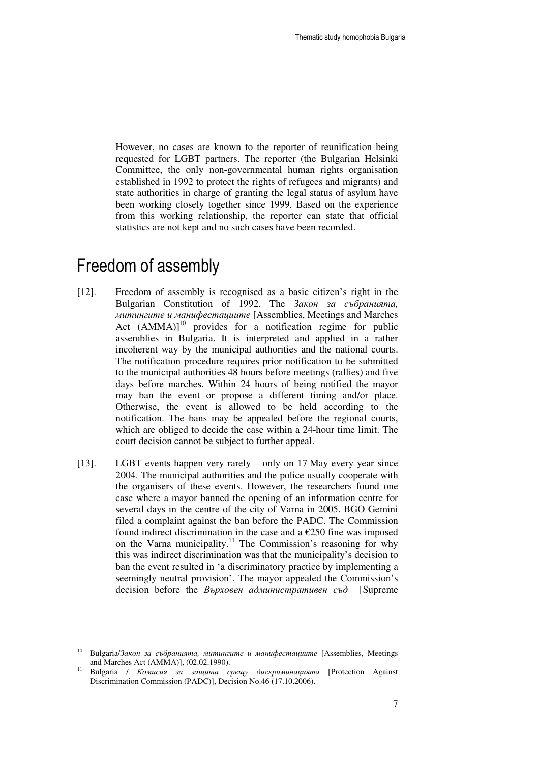However, no cases are known to the reporter of reunification being requested for LGBT partners. The reporter (the Bulgarian Helsinki Committee, the only non-governmental human rights organisation established in 1992 to protect the rights of refugees and migrants) and state authorities in charge of granting the legal status of asylum have been working closely together since 1999. Based on the experience from this working relationship, the reporter can state that official statistics are not kept and no such cases have been recorded.

### Freedom of assembly

- [12]. Freedom of assembly is recognised as a basic citizen's right in the Bulgarian Constitution of 1992. The Закон за събранията*,*  митингите и манифестациите [Assemblies, Meetings and Marches Act  $(AMMA)|^{10}$  provides for a notification regime for public assemblies in Bulgaria. It is interpreted and applied in a rather incoherent way by the municipal authorities and the national courts. The notification procedure requires prior notification to be submitted to the municipal authorities 48 hours before meetings (rallies) and five days before marches. Within 24 hours of being notified the mayor may ban the event or propose a different timing and/or place. Otherwise, the event is allowed to be held according to the notification. The bans may be appealed before the regional courts, which are obliged to decide the case within a 24-hour time limit. The court decision cannot be subject to further appeal.
- [13]. LGBT events happen very rarely only on 17 May every year since 2004. The municipal authorities and the police usually cooperate with the organisers of these events. However, the researchers found one case where a mayor banned the opening of an information centre for several days in the centre of the city of Varna in 2005. BGO Gemini filed a complaint against the ban before the PADC. The Commission found indirect discrimination in the case and a  $\epsilon$ 250 fine was imposed on the Varna municipality.<sup>11</sup> The Commission's reasoning for why this was indirect discrimination was that the municipality's decision to ban the event resulted in 'a discriminatory practice by implementing a seemingly neutral provision'. The mayor appealed the Commission's decision before the *Върховен административен съд* [Supreme

<sup>10</sup> Bulgaria/Закон за събранията*,* митингите и манифестациите [Assemblies, Meetings and Marches Act (AMMA)], (02.02.1990).

<sup>11</sup> Bulgaria / Комисия за защита срещу дискриминацията [Protection Against Discrimination Commission (PADC)], Decision No.46 (17.10.2006).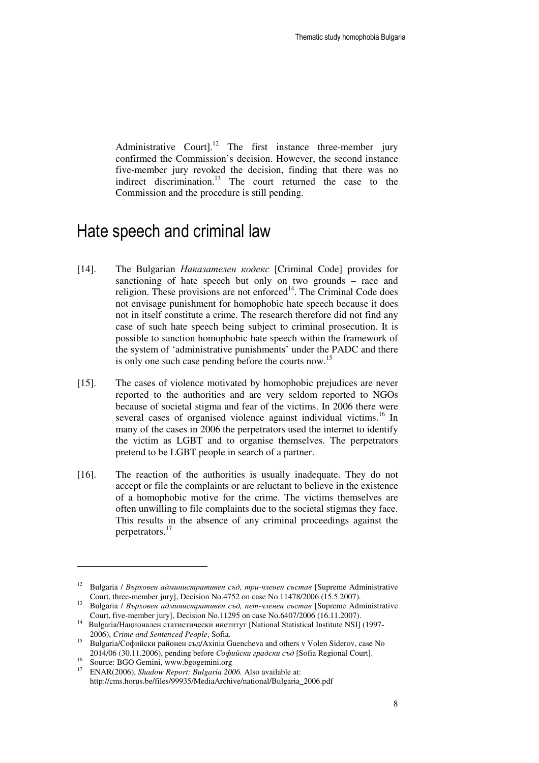Administrative Courtl.<sup>12</sup> The first instance three-member jury confirmed the Commission's decision. However, the second instance five-member jury revoked the decision, finding that there was no indirect discrimination.<sup>13</sup> The court returned the case to the Commission and the procedure is still pending.

### Hate speech and criminal law

- [14]. The Bulgarian *Наказателен кодекс* [Criminal Code] provides for sanctioning of hate speech but only on two grounds – race and religion. These provisions are not enforced $14$ . The Criminal Code does not envisage punishment for homophobic hate speech because it does not in itself constitute a crime. The research therefore did not find any case of such hate speech being subject to criminal prosecution. It is possible to sanction homophobic hate speech within the framework of the system of 'administrative punishments' under the PADC and there is only one such case pending before the courts now.<sup>15</sup>
- [15]. The cases of violence motivated by homophobic prejudices are never reported to the authorities and are very seldom reported to NGOs because of societal stigma and fear of the victims. In 2006 there were several cases of organised violence against individual victims.<sup>16</sup> In many of the cases in 2006 the perpetrators used the internet to identify the victim as LGBT and to organise themselves. The perpetrators pretend to be LGBT people in search of a partner.
- [16]. The reaction of the authorities is usually inadequate. They do not accept or file the complaints or are reluctant to believe in the existence of a homophobic motive for the crime. The victims themselves are often unwilling to file complaints due to the societal stigmas they face. This results in the absence of any criminal proceedings against the perpetrators.<sup>17</sup>

<sup>16</sup> Source: BGO Gemini, www.bgogemini.org<br><sup>17</sup> ENAB (2006), *Shadow Bananti Bulgaria* 200

<sup>12</sup> Bulgaria / Върховен административен съд*,* три*-*членен състав [Supreme Administrative Court, three-member jury], Decision No.4752 on case No.11478/2006 (15.5.2007).

<sup>13</sup> Bulgaria / Върховен административен съд*,* пет*-*членен състав [Supreme Administrative Court, five-member jury], Decision No.11295 on case No.6407/2006 (16.11.2007).

<sup>&</sup>lt;sup>14</sup> Bulgaria/Национален статистически институт [National Statistical Institute NSI] (1997-2006), *Crime and Sentenced People*, Sofia.

<sup>15</sup> Bulgaria/Софийски районен съд/Axinia Guencheva and others v Volen Siderov, case No 2014/06 (30.11.2006), pending before Софийски градски съд [Sofia Regional Court].

<sup>17</sup> ENAR(2006), *Shadow Report: Bulgaria 2006.* Also available at: http://cms.horus.be/files/99935/MediaArchive/national/Bulgaria\_2006.pdf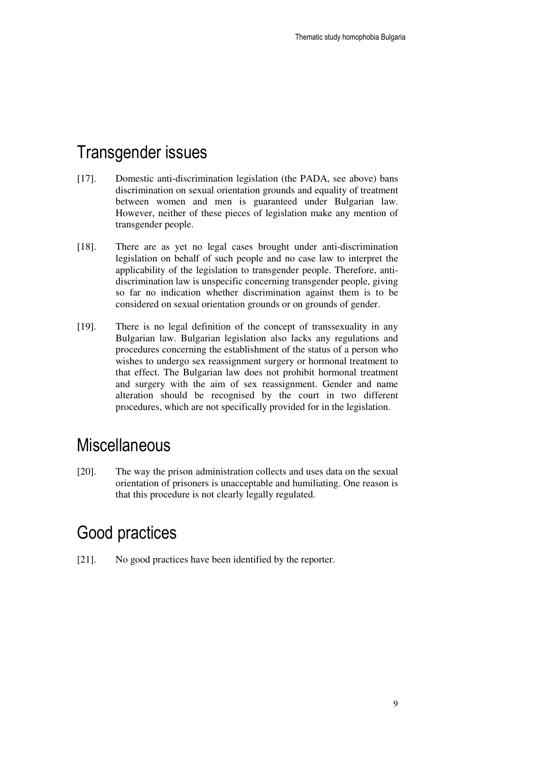### Transgender issues

- [17]. Domestic anti-discrimination legislation (the PADA, see above) bans discrimination on sexual orientation grounds and equality of treatment between women and men is guaranteed under Bulgarian law. However, neither of these pieces of legislation make any mention of transgender people.
- [18]. There are as yet no legal cases brought under anti-discrimination legislation on behalf of such people and no case law to interpret the applicability of the legislation to transgender people. Therefore, antidiscrimination law is unspecific concerning transgender people, giving so far no indication whether discrimination against them is to be considered on sexual orientation grounds or on grounds of gender.
- [19]. There is no legal definition of the concept of transsexuality in any Bulgarian law. Bulgarian legislation also lacks any regulations and procedures concerning the establishment of the status of a person who wishes to undergo sex reassignment surgery or hormonal treatment to that effect. The Bulgarian law does not prohibit hormonal treatment and surgery with the aim of sex reassignment. Gender and name alteration should be recognised by the court in two different procedures, which are not specifically provided for in the legislation.

### **Miscellaneous**

[20]. The way the prison administration collects and uses data on the sexual orientation of prisoners is unacceptable and humiliating. One reason is that this procedure is not clearly legally regulated.

### Good practices

[21]. No good practices have been identified by the reporter.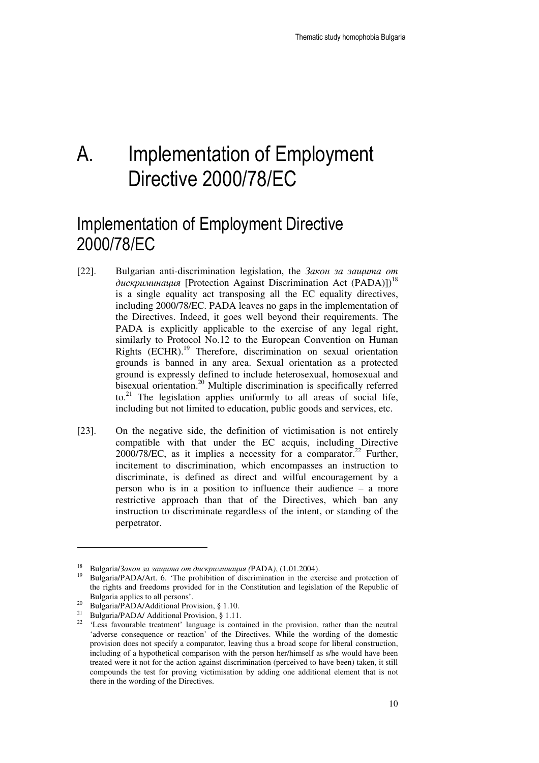## A. Implementation of Employment Directive 2000/78/EC

## Implementation of Employment Directive 2000/78/EC

- [22]. Bulgarian anti-discrimination legislation, the Закон за защита *o*т дискриминация [Protection Against Discrimination Act (PADA)])<sup>18</sup> is a single equality act transposing all the EC equality directives, including 2000/78/EC. PADA leaves no gaps in the implementation of the Directives. Indeed, it goes well beyond their requirements. The PADA is explicitly applicable to the exercise of any legal right, similarly to Protocol No.12 to the European Convention on Human Rights (ECHR).<sup>19</sup> Therefore, discrimination on sexual orientation grounds is banned in any area. Sexual orientation as a protected ground is expressly defined to include heterosexual, homosexual and bisexual orientation.<sup>20</sup> Multiple discrimination is specifically referred to.<sup>21</sup> The legislation applies uniformly to all areas of social life, including but not limited to education, public goods and services, etc.
- [23]. On the negative side, the definition of victimisation is not entirely compatible with that under the EC acquis, including Directive  $2000/78$ /EC, as it implies a necessity for a comparator.<sup>22</sup> Further, incitement to discrimination, which encompasses an instruction to discriminate, is defined as direct and wilful encouragement by a person who is in a position to influence their audience – a more restrictive approach than that of the Directives, which ban any instruction to discriminate regardless of the intent, or standing of the perpetrator.

<sup>18</sup> Bulgaria/Закон за защита от дискриминация *(*PADA*)*, (1.01.2004).

<sup>19</sup> Bulgaria/PADA/Art. 6. 'The prohibition of discrimination in the exercise and protection of the rights and freedoms provided for in the Constitution and legislation of the Republic of Bulgaria applies to all persons'.

<sup>&</sup>lt;sup>20</sup> Bulgaria/PADA/Additional Provision, § 1.10.

<sup>&</sup>lt;sup>21</sup> Bulgaria/PADA/ Additional Provision, § 1.11.

<sup>&</sup>lt;sup>22</sup> 'Less favourable treatment' language is contained in the provision, rather than the neutral 'adverse consequence or reaction' of the Directives. While the wording of the domestic provision does not specify a comparator, leaving thus a broad scope for liberal construction, including of a hypothetical comparison with the person her/himself as s/he would have been treated were it not for the action against discrimination (perceived to have been) taken, it still compounds the test for proving victimisation by adding one additional element that is not there in the wording of the Directives.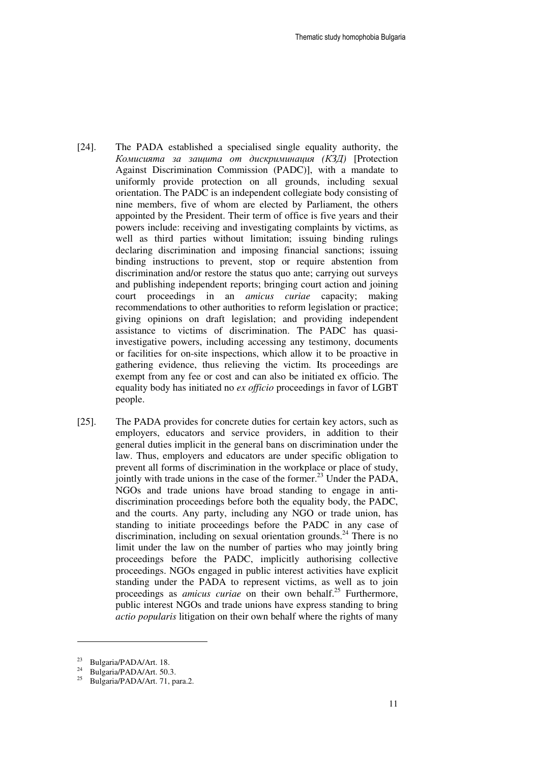- [24]. The PADA established a specialised single equality authority, the Комисията за защита от дискриминация *(*КЗД*)* [Protection Against Discrimination Commission (PADC)], with a mandate to uniformly provide protection on all grounds, including sexual orientation. The PADC is an independent collegiate body consisting of nine members, five of whom are elected by Parliament, the others appointed by the President. Their term of office is five years and their powers include: receiving and investigating complaints by victims, as well as third parties without limitation; issuing binding rulings declaring discrimination and imposing financial sanctions; issuing binding instructions to prevent, stop or require abstention from discrimination and/or restore the status quo ante; carrying out surveys and publishing independent reports; bringing court action and joining court proceedings in an *amicus curiae* capacity; making recommendations to other authorities to reform legislation or practice; giving opinions on draft legislation; and providing independent assistance to victims of discrimination. The PADC has quasiinvestigative powers, including accessing any testimony, documents or facilities for on-site inspections, which allow it to be proactive in gathering evidence, thus relieving the victim. Its proceedings are exempt from any fee or cost and can also be initiated ex officio. The equality body has initiated no *ex officio* proceedings in favor of LGBT people.
- [25]. The PADA provides for concrete duties for certain key actors, such as employers, educators and service providers, in addition to their general duties implicit in the general bans on discrimination under the law. Thus, employers and educators are under specific obligation to prevent all forms of discrimination in the workplace or place of study, jointly with trade unions in the case of the former.<sup>23</sup> Under the PADA, NGOs and trade unions have broad standing to engage in antidiscrimination proceedings before both the equality body, the PADC, and the courts. Any party, including any NGO or trade union, has standing to initiate proceedings before the PADC in any case of discrimination, including on sexual orientation grounds.<sup>24</sup> There is no limit under the law on the number of parties who may jointly bring proceedings before the PADC, implicitly authorising collective proceedings. NGOs engaged in public interest activities have explicit standing under the PADA to represent victims, as well as to join proceedings as *amicus curiae* on their own behalf.<sup>25</sup> Furthermore, public interest NGOs and trade unions have express standing to bring *actio popularis* litigation on their own behalf where the rights of many

<sup>&</sup>lt;sup>23</sup> Bulgaria/PADA/Art. 18.

<sup>&</sup>lt;sup>24</sup> Bulgaria/PADA/Art. 50.3.

<sup>25</sup> Bulgaria/PADA/Art. 71, para.2.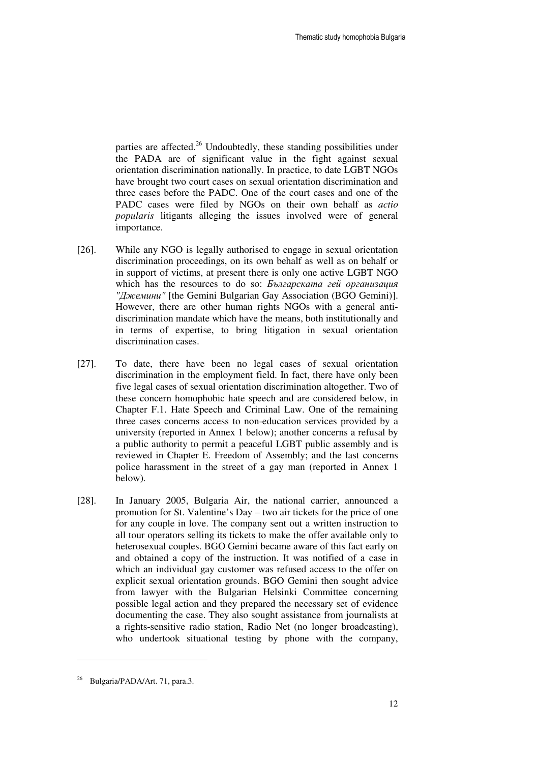parties are affected.<sup>26</sup> Undoubtedly, these standing possibilities under the PADA are of significant value in the fight against sexual orientation discrimination nationally. In practice, to date LGBT NGOs have brought two court cases on sexual orientation discrimination and three cases before the PADC. One of the court cases and one of the PADC cases were filed by NGOs on their own behalf as *actio popularis* litigants alleging the issues involved were of general importance.

- [26]. While any NGO is legally authorised to engage in sexual orientation discrimination proceedings, on its own behalf as well as on behalf or in support of victims, at present there is only one active LGBT NGO which has the resources to do so: Българската гей организация *"*Джемини*"* [the Gemini Bulgarian Gay Association (BGO Gemini)]. However, there are other human rights NGOs with a general antidiscrimination mandate which have the means, both institutionally and in terms of expertise, to bring litigation in sexual orientation discrimination cases.
- [27]. To date, there have been no legal cases of sexual orientation discrimination in the employment field. In fact, there have only been five legal cases of sexual orientation discrimination altogether. Two of these concern homophobic hate speech and are considered below, in Chapter F.1. Hate Speech and Criminal Law. One of the remaining three cases concerns access to non-education services provided by a university (reported in Annex 1 below); another concerns a refusal by a public authority to permit a peaceful LGBT public assembly and is reviewed in Chapter E. Freedom of Assembly; and the last concerns police harassment in the street of a gay man (reported in Annex 1 below).
- [28]. In January 2005, Bulgaria Air, the national carrier, announced a promotion for St. Valentine's Day – two air tickets for the price of one for any couple in love. Тhe company sent out a written instruction to all tour operators selling its tickets to make the offer available only to heterosexual couples. BGO Gemini became aware of this fact early on and obtained a copy of the instruction. It was notified of a case in which an individual gay customer was refused access to the offer on explicit sexual orientation grounds. BGO Gemini then sought advice from lawyer with the Bulgarian Helsinki Committee concerning possible legal action and they prepared the necessary set of evidence documenting the case. They also sought assistance from journalists at a rights-sensitive radio station, Radio Net (no longer broadcasting), who undertook situational testing by phone with the company,

<sup>26</sup> Bulgaria/PADA/Art. 71, para.3.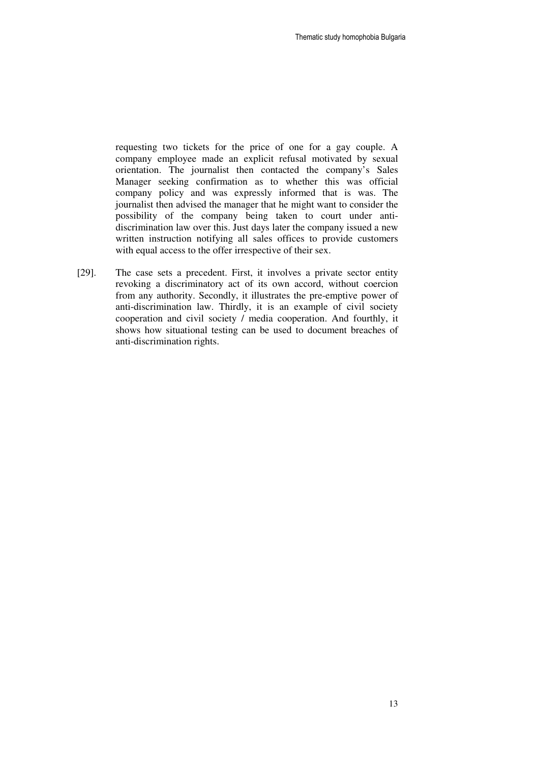requesting two tickets for the price of one for a gay couple. A company employee made an explicit refusal motivated by sexual orientation. The journalist then contacted the company's Sales Manager seeking confirmation as to whether this was official company policy and was expressly informed that is was. The journalist then advised the manager that he might want to consider the possibility of the company being taken to court under antidiscrimination law over this. Just days later the company issued a new written instruction notifying all sales offices to provide customers with equal access to the offer irrespective of their sex.

[29]. The case sets a precedent. First, it involves a private sector entity revoking a discriminatory act of its own accord, without coercion from any authority. Secondly, it illustrates the pre-emptive power of anti-discrimination law. Thirdly, it is an example of civil society cooperation and civil society / media cooperation. And fourthly, it shows how situational testing can be used to document breaches of anti-discrimination rights.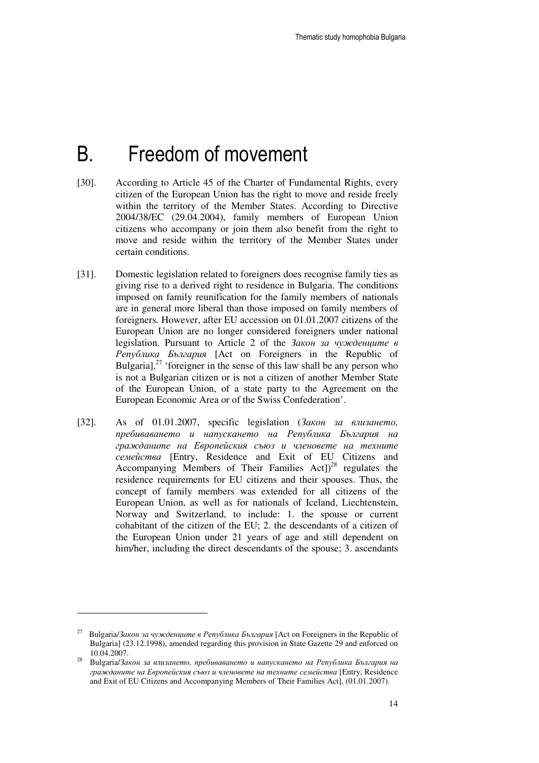## B. Freedom of movement

- [30]. According to Article 45 of the Charter of Fundamental Rights, every citizen of the European Union has the right to move and reside freely within the territory of the Member States. According to Directive 2004/38/EC (29.04.2004), family members of European Union citizens who accompany or join them also benefit from the right to move and reside within the territory of the Member States under certain conditions.
- [31]. Domestic legislation related to foreigners does recognise family ties as giving rise to a derived right to residence in Bulgaria. The conditions imposed on family reunification for the family members of nationals are in general more liberal than those imposed on family members of foreigners. However, after EU accession on 01.01.2007 citizens of the European Union are no longer considered foreigners under national legislation. Pursuant to Article 2 of the Закон за чужденците в Република България [Act on Foreigners in the Republic of Bulgaria], $27$  'foreigner in the sense of this law shall be any person who is not a Bulgarian citizen or is not a citizen of another Member State of the European Union, of a state party to the Agreement on the European Economic Area or of the Swiss Confederation'.
- [32]. As of 01.01.2007, specific legislation (Закон за влизането*,*  пребиваването и напускането на Република България на гражданите на Европейския съюз и членовете на техните семейства [Entry, Residence and Exit of EU Citizens and Accompanying Members of Their Families Act])<sup>28</sup> regulates the residence requirements for EU citizens and their spouses. Thus, the concept of family members was extended for all citizens of the European Union, as well as for nationals of Iceland, Liechtenstein, Norway and Switzerland, to include: 1. the spouse or current cohabitant of the citizen of the EU; 2. the descendants of a citizen of the European Union under 21 years of age and still dependent on him/her, including the direct descendants of the spouse; 3. ascendants

-

<sup>&</sup>lt;sup>27</sup> Bulgaria/Закон за чужденците в Република България [Act on Foreigners in the Republic of Bulgaria] (23.12.1998), amended regarding this provision in State Gazette 29 and enforced on 10.04.2007.

<sup>28</sup> Bulgaria/Закон за влизането*,* пребиваването и напускането на Република България на гражданите на Европейския съюз и членовете на техните семейства [Entry, Residence and Exit of EU Citizens and Accompanying Members of Their Families Act], (01.01.2007).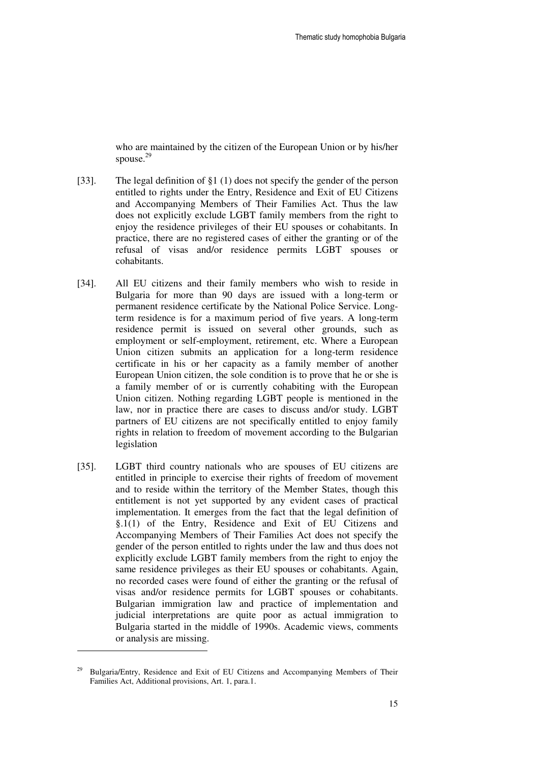who are maintained by the citizen of the European Union or by his/her spouse.<sup>29</sup>

- [33]. The legal definition of  $\S1(1)$  does not specify the gender of the person entitled to rights under the Entry, Residence and Exit of EU Citizens and Accompanying Members of Their Families Act. Thus the law does not explicitly exclude LGBT family members from the right to enjoy the residence privileges of their EU spouses or cohabitants. In practice, there are no registered cases of either the granting or of the refusal of visas and/or residence permits LGBT spouses or cohabitants.
- [34]. All EU citizens and their family members who wish to reside in Bulgaria for more than 90 days are issued with a long-term or permanent residence certificate by the National Police Service. Longterm residence is for a maximum period of five years. A long-term residence permit is issued on several other grounds, such as employment or self-employment, retirement, etc. Where a European Union citizen submits an application for a long-term residence certificate in his or her capacity as a family member of another European Union citizen, the sole condition is to prove that he or she is a family member of or is currently cohabiting with the European Union citizen. Nothing regarding LGBT people is mentioned in the law, nor in practice there are cases to discuss and/or study. LGBT partners of EU citizens are not specifically entitled to enjoy family rights in relation to freedom of movement according to the Bulgarian legislation
- [35]. LGBT third country nationals who are spouses of EU citizens are entitled in principle to exercise their rights of freedom of movement and to reside within the territory of the Member States, though this entitlement is not yet supported by any evident cases of practical implementation. It emerges from the fact that the legal definition of §.1(1) of the Entry, Residence and Exit of EU Citizens and Accompanying Members of Their Families Act does not specify the gender of the person entitled to rights under the law and thus does not explicitly exclude LGBT family members from the right to enjoy the same residence privileges as their EU spouses or cohabitants. Again, no recorded cases were found of either the granting or the refusal of visas and/or residence permits for LGBT spouses or cohabitants. Bulgarian immigration law and practice of implementation and judicial interpretations are quite poor as actual immigration to Bulgaria started in the middle of 1990s. Academic views, comments or analysis are missing.

<sup>29</sup> Bulgaria/Entry, Residence and Exit of EU Citizens and Accompanying Members of Their Families Act, Additional provisions, Art. 1, para.1.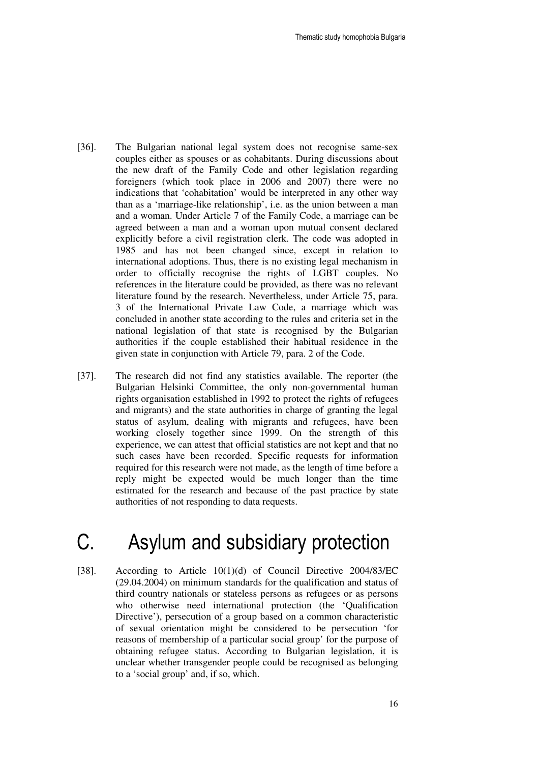- [36]. The Bulgarian national legal system does not recognise same-sex couples either as spouses or as cohabitants. During discussions about the new draft of the Family Code and other legislation regarding foreigners (which took place in 2006 and 2007) there were no indications that 'cohabitation' would be interpreted in any other way than as a 'marriage-like relationship', i.e. as the union between a man and a woman. Under Article 7 of the Family Code, a marriage can be agreed between a man and a woman upon mutual consent declared explicitly before a civil registration clerk. The code was adopted in 1985 and has not been changed since, except in relation to international adoptions. Thus, there is no existing legal mechanism in order to officially recognise the rights of LGBT couples. No references in the literature could be provided, as there was no relevant literature found by the research. Nevertheless, under Article 75, para. 3 of the International Private Law Code, a marriage which was concluded in another state according to the rules and criteria set in the national legislation of that state is recognised by the Bulgarian authorities if the couple established their habitual residence in the given state in conjunction with Article 79, para. 2 of the Code.
- [37]. The research did not find any statistics available. The reporter (the Bulgarian Helsinki Committee, the only non-governmental human rights organisation established in 1992 to protect the rights of refugees and migrants) and the state authorities in charge of granting the legal status of asylum, dealing with migrants and refugees, have been working closely together since 1999. On the strength of this experience, we can attest that official statistics are not kept and that no such cases have been recorded. Specific requests for information required for this research were not made, as the length of time before a reply might be expected would be much longer than the time estimated for the research and because of the past practice by state authorities of not responding to data requests.

## C. Asylum and subsidiary protection

[38]. According to Article 10(1)(d) of Council Directive 2004/83/EC (29.04.2004) on minimum standards for the qualification and status of third country nationals or stateless persons as refugees or as persons who otherwise need international protection (the 'Qualification Directive'), persecution of a group based on a common characteristic of sexual orientation might be considered to be persecution 'for reasons of membership of a particular social group' for the purpose of obtaining refugee status. According to Bulgarian legislation, it is unclear whether transgender people could be recognised as belonging to a 'social group' and, if so, which.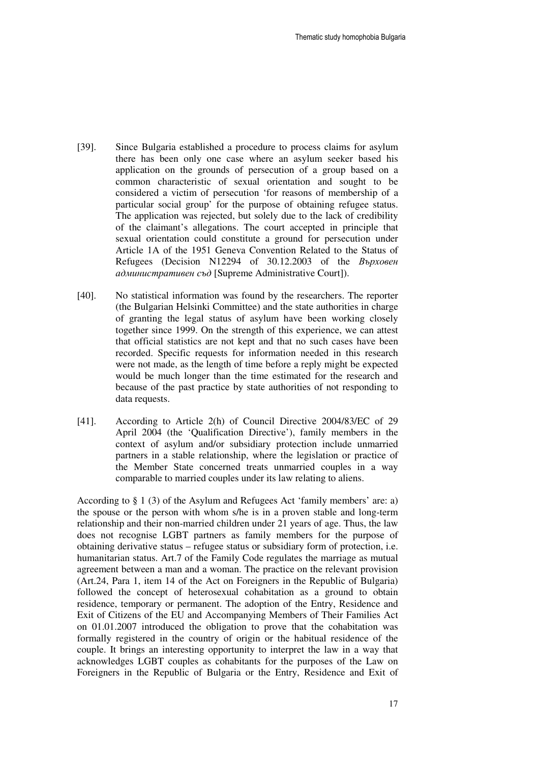- [39]. Since Bulgaria established a procedure to process claims for asylum there has been only one case where an asylum seeker based his application on the grounds of persecution of a group based on a common characteristic of sexual orientation and sought to be considered a victim of persecution 'for reasons of membership of a particular social group' for the purpose of obtaining refugee status. The application was rejected, but solely due to the lack of credibility of the claimant's allegations. The court accepted in principle that sexual orientation could constitute a ground for persecution under Article 1A of the 1951 Geneva Convention Related to the Status of Refugees (Decision N12294 of 30.12.2003 of the Върховен административен съд [Supreme Administrative Court]).
- [40]. No statistical information was found by the researchers. The reporter (the Bulgarian Helsinki Committee) and the state authorities in charge of granting the legal status of asylum have been working closely together since 1999. On the strength of this experience, we can attest that official statistics are not kept and that no such cases have been recorded. Specific requests for information needed in this research were not made, as the length of time before a reply might be expected would be much longer than the time estimated for the research and because of the past practice by state authorities of not responding to data requests.
- [41]. According to Article 2(h) of Council Directive 2004/83/EC of 29 April 2004 (the 'Qualification Directive'), family members in the context of asylum and/or subsidiary protection include unmarried partners in a stable relationship, where the legislation or practice of the Member State concerned treats unmarried couples in a way comparable to married couples under its law relating to aliens.

According to § 1 (3) of the Asylum and Refugees Act 'family members' are: a) the spouse or the person with whom s/he is in a proven stable and long-term relationship and their non-married children under 21 years of age. Thus, the law does not recognise LGBT partners as family members for the purpose of obtaining derivative status – refugee status or subsidiary form of protection, i.e. humanitarian status. Art.7 of the Family Code regulates the marriage as mutual agreement between a man and a woman. The practice on the relevant provision (Art.24, Para 1, item 14 of the Act on Foreigners in the Republic of Bulgaria) followed the concept of heterosexual cohabitation as a ground to obtain residence, temporary or permanent. The adoption of the Entry, Residence and Exit of Citizens of the EU and Accompanying Members of Their Families Act on 01.01.2007 introduced the obligation to prove that the cohabitation was formally registered in the country of origin or the habitual residence of the couple. It brings an interesting opportunity to interpret the law in a way that acknowledges LGBT couples as cohabitants for the purposes of the Law on Foreigners in the Republic of Bulgaria or the Entry, Residence and Exit of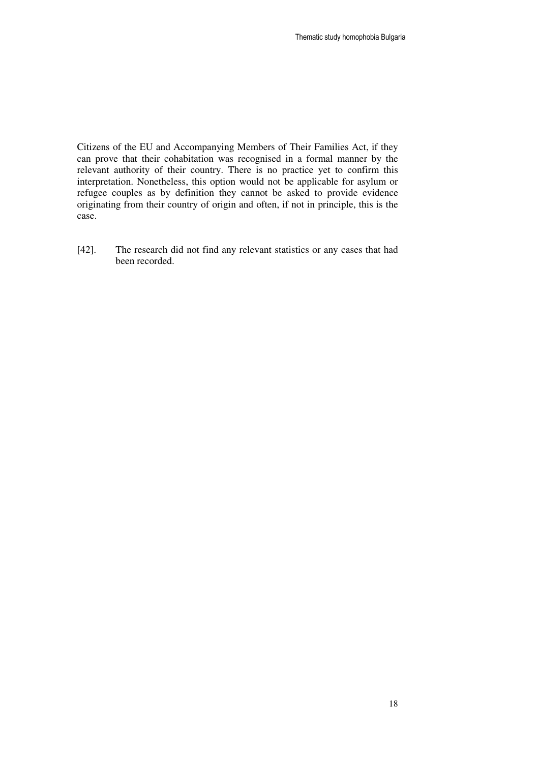Citizens of the EU and Accompanying Members of Their Families Act, if they can prove that their cohabitation was recognised in a formal manner by the relevant authority of their country. There is no practice yet to confirm this interpretation. Nonetheless, this option would not be applicable for asylum or refugee couples as by definition they cannot be asked to provide evidence originating from their country of origin and often, if not in principle, this is the case.

[42]. The research did not find any relevant statistics or any cases that had been recorded.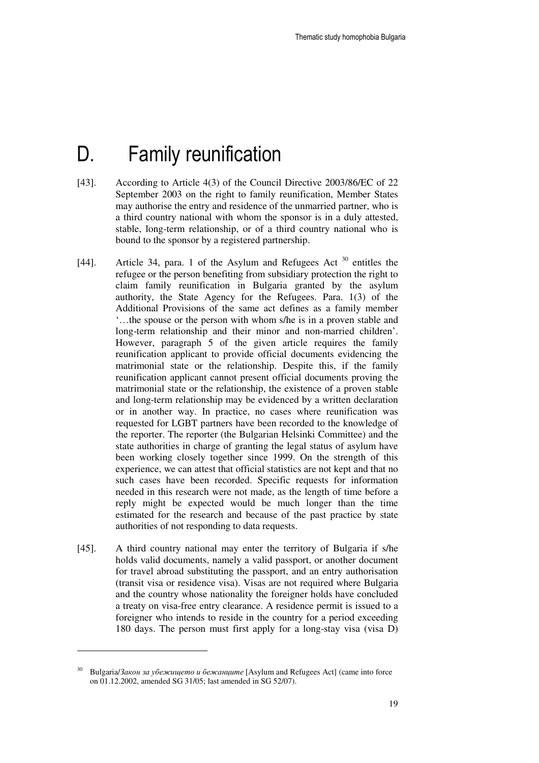## D. Family reunification

- [43]. According to Article 4(3) of the Council Directive 2003/86/EC of 22 September 2003 on the right to family reunification, Member States may authorise the entry and residence of the unmarried partner, who is a third country national with whom the sponsor is in a duly attested, stable, long-term relationship, or of a third country national who is bound to the sponsor by a registered partnership.
- [44]. Article 34, para. 1 of the Asylum and Refugees Act <sup>30</sup> entitles the refugee or the person benefiting from subsidiary protection the right to claim family reunification in Bulgaria granted by the asylum authority, the State Agency for the Refugees. Para. 1(3) of the Additional Provisions of the same act defines as a family member '…the spouse or the person with whom s/he is in a proven stable and long-term relationship and their minor and non-married children'. However, paragraph 5 of the given article requires the family reunification applicant to provide official documents evidencing the matrimonial state or the relationship. Despite this, if the family reunification applicant cannot present official documents proving the matrimonial state or the relationship, the existence of a proven stable and long-term relationship may be evidenced by a written declaration or in another way. In practice, no cases where reunification was requested for LGBT partners have been recorded to the knowledge of the reporter. The reporter (the Bulgarian Helsinki Committee) and the state authorities in charge of granting the legal status of asylum have been working closely together since 1999. On the strength of this experience, we can attest that official statistics are not kept and that no such cases have been recorded. Specific requests for information needed in this research were not made, as the length of time before a reply might be expected would be much longer than the time estimated for the research and because of the past practice by state authorities of not responding to data requests.
- [45]. A third country national may enter the territory of Bulgaria if s/he holds valid documents, namely a valid passport, or another document for travel abroad substituting the passport, and an entry authorisation (transit visa or residence visa). Visas are not required where Bulgaria and the country whose nationality the foreigner holds have concluded a treaty on visa-free entry clearance. A residence permit is issued to a foreigner who intends to reside in the country for a period exceeding 180 days. The person must first apply for a long-stay visa (visa D)

Bulgaria/Закон за убежището и бежанците [Asylum and Refugees Act] (came into force on 01.12.2002, amended SG 31/05; last amended in SG 52/07).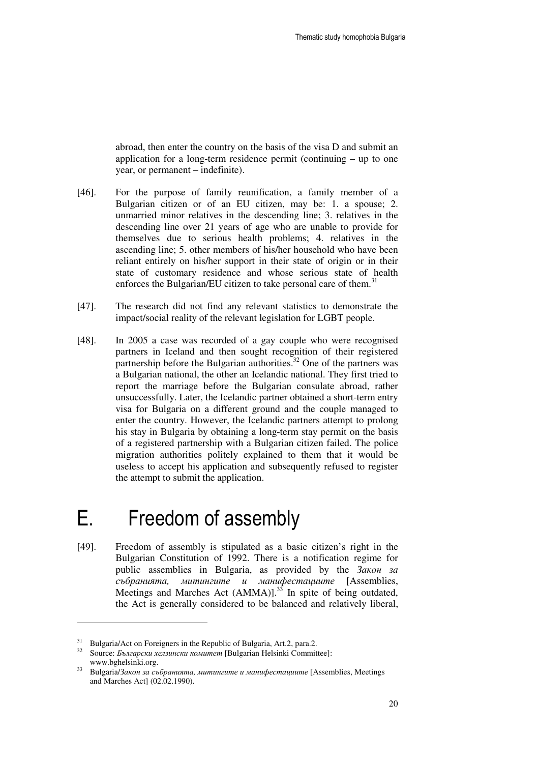abroad, then enter the country on the basis of the visa D and submit an application for a long-term residence permit (continuing – up to one year, or permanent – indefinite).

- [46]. For the purpose of family reunification, a family member of a Bulgarian citizen or of an EU citizen, may be: 1. a spouse; 2. unmarried minor relatives in the descending line; 3. relatives in the descending line over 21 years of age who are unable to provide for themselves due to serious health problems; 4. relatives in the ascending line; 5. other members of his/her household who have been reliant entirely on his/her support in their state of origin or in their state of customary residence and whose serious state of health enforces the Bulgarian/EU citizen to take personal care of them.<sup>31</sup>
- [47]. The research did not find any relevant statistics to demonstrate the impact/social reality of the relevant legislation for LGBT people.
- [48]. In 2005 a case was recorded of a gay couple who were recognised partners in Iceland and then sought recognition of their registered partnership before the Bulgarian authorities.<sup>32</sup> One of the partners was a Bulgarian national, the other an Icelandic national. They first tried to report the marriage before the Bulgarian consulate abroad, rather unsuccessfully. Later, the Icelandic partner obtained a short-term entry visa for Bulgaria on a different ground and the couple managed to enter the country. However, the Icelandic partners attempt to prolong his stay in Bulgaria by obtaining a long-term stay permit on the basis of a registered partnership with a Bulgarian citizen failed. The police migration authorities politely explained to them that it would be useless to accept his application and subsequently refused to register the attempt to submit the application.

## E. Freedom of assembly

[49]. Freedom of assembly is stipulated as a basic citizen's right in the Bulgarian Constitution of 1992. There is a notification regime for public assemblies in Bulgaria, as provided by the  $3a\kappa$ <sup>3a</sup> събранията*,* митингите и манифестациите [Assemblies, Meetings and Marches Act  $(AMMA)$ <sup>33</sup> In spite of being outdated, the Act is generally considered to be balanced and relatively liberal,

<sup>&</sup>lt;sup>31</sup> Bulgaria/Act on Foreigners in the Republic of Bulgaria, Art.2, para.2.

<sup>&</sup>lt;sup>32</sup> Source: *Български хелзински комитет* [Bulgarian Helsinki Committee]: www.bghelsinki.org.

<sup>33</sup> Bulgaria/Закон за събранията*,* митингите и манифестациите [Assemblies, Meetings and Marches Act] (02.02.1990).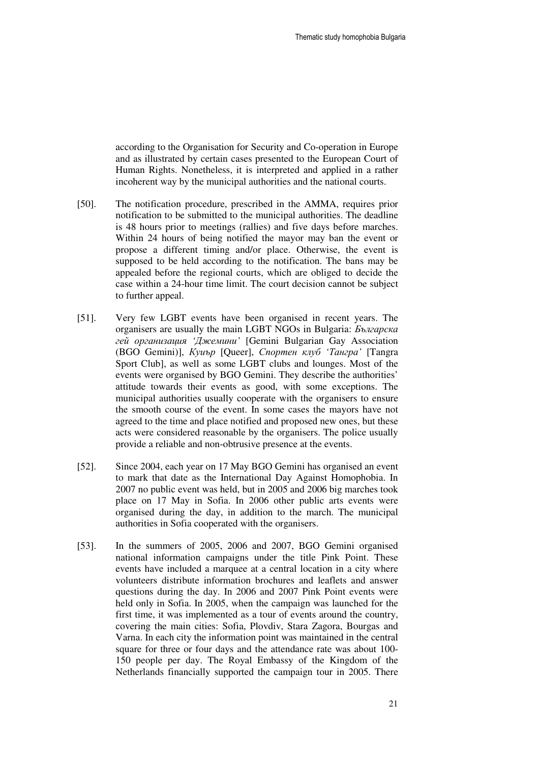according to the Organisation for Security and Co-operation in Europe and as illustrated by certain cases presented to the European Court of Human Rights. Nonetheless, it is interpreted and applied in a rather incoherent way by the municipal authorities and the national courts.

- [50]. The notification procedure, prescribed in the AMMA, requires prior notification to be submitted to the municipal authorities. The deadline is 48 hours prior to meetings (rallies) and five days before marches. Within 24 hours of being notified the mayor may ban the event or propose a different timing and/or place. Otherwise, the event is supposed to be held according to the notification. The bans may be appealed before the regional courts, which are obliged to decide the case within a 24-hour time limit. The court decision cannot be subject to further appeal.
- [51]. Very few LGBT events have been organised in recent years. The organisers are usually the main LGBT NGOs in Bulgaria: Българска гей организация *'*Джемини*'* [Gemini Bulgarian Gay Association (BGO Gemini)], Куиър [Queer], Спортен клуб *'*Тангра*'* [Tangra Sport Club], as well as some LGBT clubs and lounges. Most of the events were organised by BGO Gemini. They describe the authorities' attitude towards their events as good, with some exceptions. The municipal authorities usually cooperate with the organisers to ensure the smooth course of the event. In some cases the mayors have not agreed to the time and place notified and proposed new ones, but these acts were considered reasonable by the organisers. The police usually provide a reliable and non-obtrusive presence at the events.
- [52]. Since 2004, each year on 17 May BGO Gemini has organised an event to mark that date as the International Day Against Homophobia. In 2007 no public event was held, but in 2005 and 2006 big marches took place on 17 May in Sofia. In 2006 other public arts events were organised during the day, in addition to the march. The municipal authorities in Sofia cooperated with the organisers.
- [53]. In the summers of 2005, 2006 and 2007, BGO Gemini organised national information campaigns under the title Pink Point. These events have included a marquee at a central location in a city where volunteers distribute information brochures and leaflets and answer questions during the day. In 2006 and 2007 Pink Point events were held only in Sofia. In 2005, when the campaign was launched for the first time, it was implemented as a tour of events around the country, covering the main cities: Sofia, Plovdiv, Stara Zagora, Bourgas and Varna. In each city the information point was maintained in the central square for three or four days and the attendance rate was about 100- 150 people per day. The Royal Embassy of the Kingdom of the Netherlands financially supported the campaign tour in 2005. There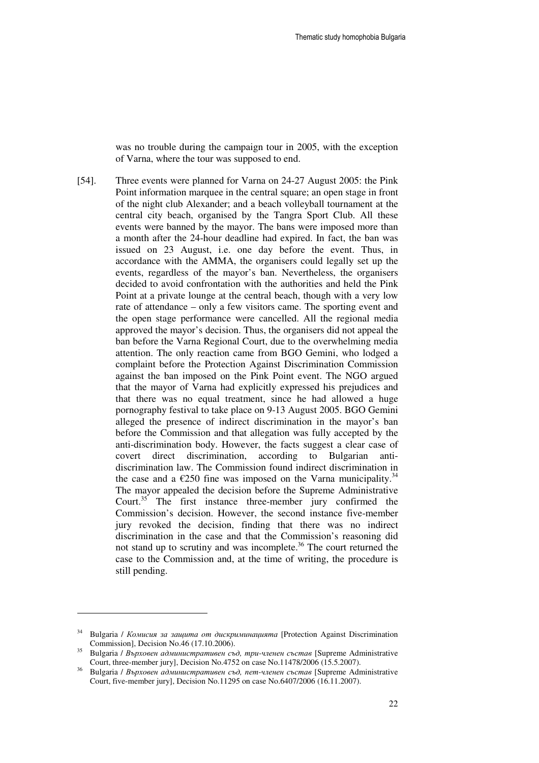was no trouble during the campaign tour in 2005, with the exception of Varna, where the tour was supposed to end.

[54]. Three events were planned for Varna on 24-27 August 2005: the Pink Point information marquee in the central square; an open stage in front of the night club Alexander; and a beach volleyball tournament at the central city beach, organised by the Tangra Sport Club. All these events were banned by the mayor. The bans were imposed more than a month after the 24-hour deadline had expired. In fact, the ban was issued on 23 August, i.e. one day before the event. Thus, in accordance with the AMMA, the organisers could legally set up the events, regardless of the mayor's ban. Nevertheless, the organisers decided to avoid confrontation with the authorities and held the Pink Point at a private lounge at the central beach, though with a very low rate of attendance – only a few visitors came. The sporting event and the open stage performance were cancelled. All the regional media approved the mayor's decision. Thus, the organisers did not appeal the ban before the Varna Regional Court, due to the overwhelming media attention. The only reaction came from BGO Gemini, who lodged a complaint before the Protection Against Discrimination Commission against the ban imposed on the Pink Point event. The NGO argued that the mayor of Varna had explicitly expressed his prejudices and that there was no equal treatment, since he had allowed a huge pornography festival to take place on 9-13 August 2005. BGO Gemini alleged the presence of indirect discrimination in the mayor's ban before the Commission and that allegation was fully accepted by the anti-discrimination body. However, the facts suggest a clear case of covert direct discrimination, according to Bulgarian antidiscrimination law. The Commission found indirect discrimination in the case and a  $\epsilon$ 250 fine was imposed on the Varna municipality.<sup>3</sup> The mayor appealed the decision before the Supreme Administrative Court.<sup>35</sup> The first instance three-member jury confirmed the Commission's decision. However, the second instance five-member jury revoked the decision, finding that there was no indirect discrimination in the case and that the Commission's reasoning did not stand up to scrutiny and was incomplete.<sup>36</sup> The court returned the case to the Commission and, at the time of writing, the procedure is still pending.

-

<sup>&</sup>lt;sup>34</sup> Bulgaria / Комисия за защита от дискриминацията [Protection Against Discrimination Commission], Decision No.46 (17.10.2006).

<sup>35</sup> Bulgaria / Върховен административен съд*,* три*-*членен състав [Supreme Administrative Court, three-member jury], Decision No.4752 on case No.11478/2006 (15.5.2007).

<sup>36</sup> Bulgaria / Върховен административен съд*,* пет*-*членен състав [Supreme Administrative Court, five-member jury], Decision No.11295 on case No.6407/2006 (16.11.2007).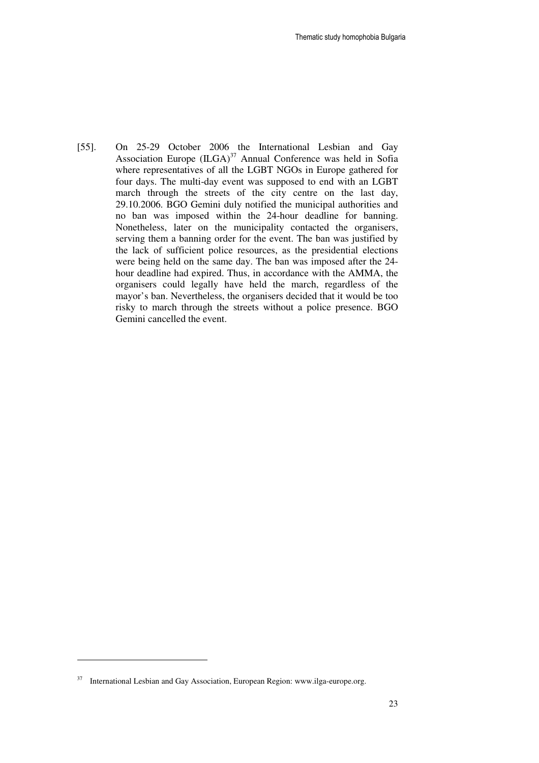[55]. On 25-29 October 2006 the International Lesbian and Gay Association Europe  $(ILGA)^{37}$  Annual Conference was held in Sofia where representatives of all the LGBT NGOs in Europe gathered for four days. The multi-day event was supposed to end with an LGBT march through the streets of the city centre on the last day, 29.10.2006. BGO Gemini duly notified the municipal authorities and no ban was imposed within the 24-hour deadline for banning. Nonetheless, later on the municipality contacted the organisers, serving them a banning order for the event. The ban was justified by the lack of sufficient police resources, as the presidential elections were being held on the same day. The ban was imposed after the 24 hour deadline had expired. Thus, in accordance with the AMMA, the organisers could legally have held the march, regardless of the mayor's ban. Nevertheless, the organisers decided that it would be too risky to march through the streets without a police presence. BGO Gemini cancelled the event.

<sup>&</sup>lt;sup>37</sup> International Lesbian and Gay Association, European Region: www.ilga-europe.org.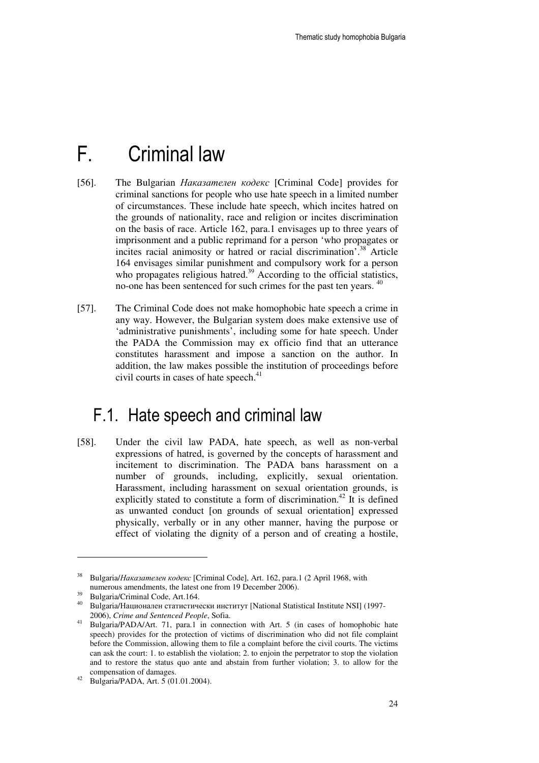## F. Criminal law

- [56]. The Bulgarian Наказателен кодекс [Criminal Code] provides for criminal sanctions for people who use hate speech in a limited number of circumstances. These include hate speech, which incites hatred on the grounds of nationality, race and religion or incites discrimination on the basis of race. Article 162, para.1 envisages up to three years of imprisonment and a public reprimand for a person 'who propagates or incites racial animosity or hatred or racial discrimination'.<sup>38</sup> Article 164 envisages similar punishment and compulsory work for a person who propagates religious hatred.<sup>39</sup> According to the official statistics, no-one has been sentenced for such crimes for the past ten years. <sup>40</sup>
- [57]. The Criminal Code does not make homophobic hate speech a crime in any way. However, the Bulgarian system does make extensive use of 'administrative punishments', including some for hate speech. Under the PADA the Commission may ex officio find that an utterance constitutes harassment and impose a sanction on the author. In addition, the law makes possible the institution of proceedings before civil courts in cases of hate speech.<sup>41</sup>

### F.1. Hate speech and criminal law

[58]. Under the civil law PADA, hate speech, as well as non-verbal expressions of hatred, is governed by the concepts of harassment and incitement to discrimination. The PADA bans harassment on a number of grounds, including, explicitly, sexual orientation. Harassment, including harassment on sexual orientation grounds, is explicitly stated to constitute a form of discrimination.<sup>42</sup> It is defined as unwanted conduct [on grounds of sexual orientation] expressed physically, verbally or in any other manner, having the purpose or effect of violating the dignity of a person and of creating a hostile,

<sup>&</sup>lt;sup>38</sup> Bulgaria/Наказателен кодекс [Criminal Code], Art. 162, para.1 (2 April 1968, with numerous amendments, the latest one from 19 December 2006).

 $39$  Bulgaria/Criminal Code, Art.164.

<sup>40</sup> Bulgaria/Национален статистически институт [National Statistical Institute NSI] (1997- 2006), *Crime and Sentenced People*, Sofia.

<sup>41</sup> Bulgaria/PADA/Art. 71, para.1 in connection with Art. 5 (in cases of homophobic hate speech) provides for the protection of victims of discrimination who did not file complaint before the Commission, allowing them to file a complaint before the civil courts. The victims can ask the court: 1. to establish the violation; 2. to enjoin the perpetrator to stop the violation and to restore the status quo ante and abstain from further violation; 3. to allow for the compensation of damages.

 $^{42}$  Bulgaria/PADA, Art. 5 (01.01.2004).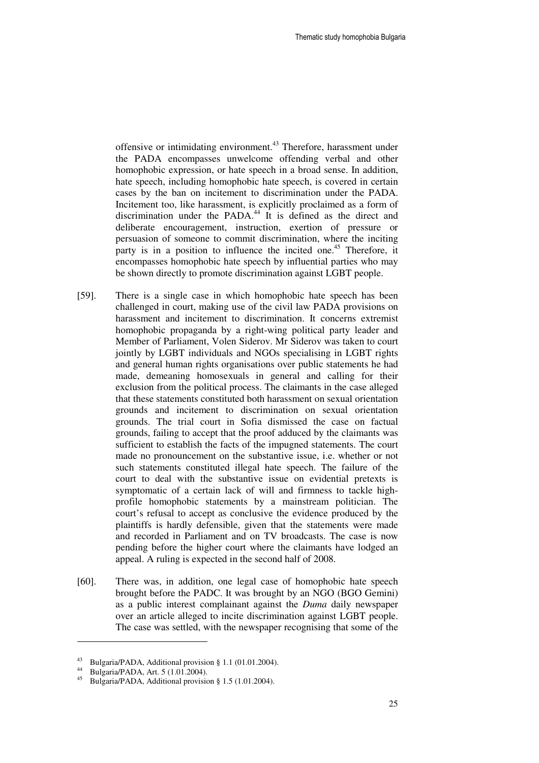offensive or intimidating environment.<sup>43</sup> Therefore, harassment under the PADA encompasses unwelcome offending verbal and other homophobic expression, or hate speech in a broad sense. In addition, hate speech, including homophobic hate speech, is covered in certain cases by the ban on incitement to discrimination under the PADA. Incitement too, like harassment, is explicitly proclaimed as a form of discrimination under the PADA.<sup>44</sup> It is defined as the direct and deliberate encouragement, instruction, exertion of pressure or persuasion of someone to commit discrimination, where the inciting party is in a position to influence the incited one.<sup>45</sup> Therefore, it encompasses homophobic hate speech by influential parties who may be shown directly to promote discrimination against LGBT people.

- [59]. There is a single case in which homophobic hate speech has been challenged in court, making use of the civil law PADA provisions on harassment and incitement to discrimination. It concerns extremist homophobic propaganda by a right-wing political party leader and Member of Parliament, Volen Siderov. Mr Siderov was taken to court jointly by LGBT individuals and NGOs specialising in LGBT rights and general human rights organisations over public statements he had made, demeaning homosexuals in general and calling for their exclusion from the political process. The claimants in the case alleged that these statements constituted both harassment on sexual orientation grounds and incitement to discrimination on sexual orientation grounds. The trial court in Sofia dismissed the case on factual grounds, failing to accept that the proof adduced by the claimants was sufficient to establish the facts of the impugned statements. The court made no pronouncement on the substantive issue, i.e. whether or not such statements constituted illegal hate speech. The failure of the court to deal with the substantive issue on evidential pretexts is symptomatic of a certain lack of will and firmness to tackle highprofile homophobic statements by a mainstream politician. The court's refusal to accept as conclusive the evidence produced by the plaintiffs is hardly defensible, given that the statements were made and recorded in Parliament and on TV broadcasts. The case is now pending before the higher court where the claimants have lodged an appeal. A ruling is expected in the second half of 2008.
- [60]. There was, in addition, one legal case of homophobic hate speech brought before the PADC. It was brought by an NGO (BGO Gemini) as a public interest complainant against the *Duma* daily newspaper over an article alleged to incite discrimination against LGBT people. The case was settled, with the newspaper recognising that some of the

<sup>43</sup> Bulgaria/PADA, Additional provision § 1.1 (01.01.2004).

 $^{44}$  Bulgaria/PADA, Art. 5 (1.01.2004).

Bulgaria/PADA, Additional provision § 1.5 (1.01.2004).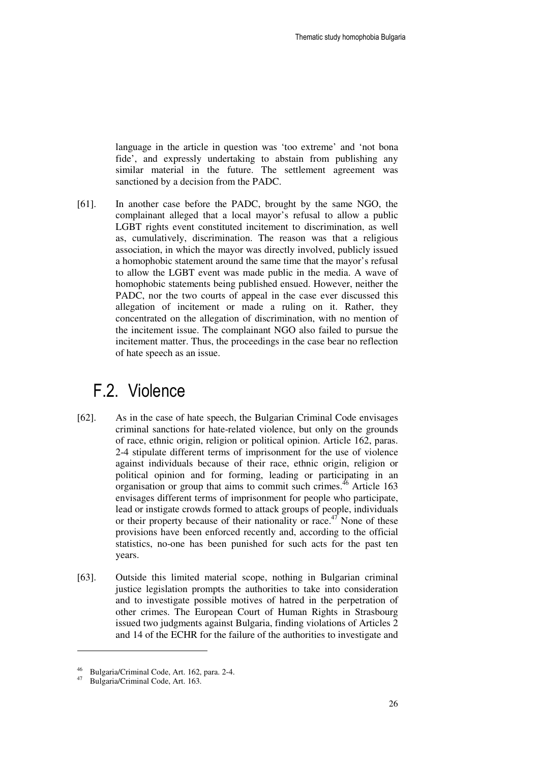language in the article in question was 'too extreme' and 'not bona fide', and expressly undertaking to abstain from publishing any similar material in the future. The settlement agreement was sanctioned by a decision from the PADC.

[61]. In another case before the PADC, brought by the same NGO, the complainant alleged that a local mayor's refusal to allow a public LGBT rights event constituted incitement to discrimination, as well as, cumulatively, discrimination. The reason was that a religious association, in which the mayor was directly involved, publicly issued a homophobic statement around the same time that the mayor's refusal to allow the LGBT event was made public in the media. A wave of homophobic statements being published ensued. However, neither the PADC, nor the two courts of appeal in the case ever discussed this allegation of incitement or made a ruling on it. Rather, they concentrated on the allegation of discrimination, with no mention of the incitement issue. The complainant NGO also failed to pursue the incitement matter. Thus, the proceedings in the case bear no reflection of hate speech as an issue.

### F.2. Violence

- [62]. As in the case of hate speech, the Bulgarian Criminal Code envisages criminal sanctions for hate-related violence, but only on the grounds of race, ethnic origin, religion or political opinion. Article 162, рaras. 2-4 stipulate different terms of imprisonment for the use of violence against individuals because of their race, ethnic origin, religion or political opinion and for forming, leading or participating in an organisation or group that aims to commit such crimes.<sup>46</sup> Article 163 envisages different terms of imprisonment for people who participate, lead or instigate crowds formed to attack groups of people, individuals or their property because of their nationality or race.<sup>47</sup> None of these provisions have been enforced recently and, according to the official statistics, no-one has been punished for such acts for the past ten years.
- [63]. Outside this limited material scope, nothing in Bulgarian criminal justice legislation prompts the authorities to take into consideration and to investigate possible motives of hatred in the perpetration of other crimes. The European Court of Human Rights in Strasbourg issued two judgments against Bulgaria, finding violations of Articles 2 and 14 of the ECHR for the failure of the authorities to investigate and

<sup>46</sup> Bulgaria/Criminal Code, Art. 162, para. 2-4.

Bulgaria/Criminal Code, Art. 163.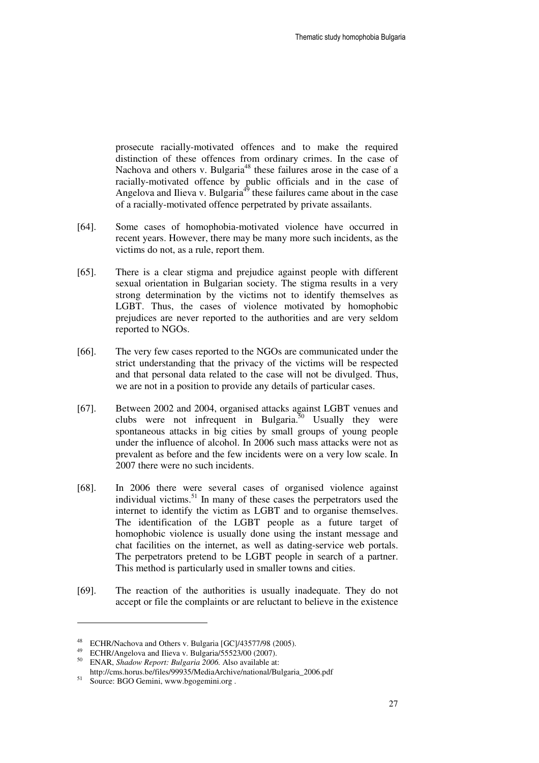prosecute racially-motivated offences and to make the required distinction of these offences from ordinary crimes. In the case of Nachova and others v. Bulgaria<sup>48</sup> these failures arose in the case of a racially-motivated offence by public officials and in the case of Angelova and Ilieva v. Bulgaria<sup>49</sup> these failures came about in the case of a racially-motivated offence perpetrated by private assailants.

- [64]. Some cases of homophobia-motivated violence have occurred in recent years. However, there may be many more such incidents, as the victims do not, as a rule, report them.
- [65]. There is a clear stigma and prejudice against people with different sexual orientation in Bulgarian society. The stigma results in a very strong determination by the victims not to identify themselves as LGBT. Thus, the cases of violence motivated by homophobic prejudices are never reported to the authorities and are very seldom reported to NGOs.
- [66]. The very few cases reported to the NGOs are communicated under the strict understanding that the privacy of the victims will be respected and that personal data related to the case will not be divulged. Thus, we are not in a position to provide any details of particular cases.
- [67]. Between 2002 and 2004, organised attacks against LGBT venues and clubs were not infrequent in Bulgaria. $50$  Usually they were spontaneous attacks in big cities by small groups of young people under the influence of alcohol. In 2006 such mass attacks were not as prevalent as before and the few incidents were on a very low scale. In 2007 there were no such incidents.
- [68]. In 2006 there were several cases of organised violence against individual victims.<sup>51</sup> In many of these cases the perpetrators used the internet to identify the victim as LGBT and to organise themselves. The identification of the LGBT people as a future target of homophobic violence is usually done using the instant message and chat facilities on the internet, as well as dating-service web portals. The perpetrators pretend to be LGBT people in search of a partner. This method is particularly used in smaller towns and cities.
- [69]. The reaction of the authorities is usually inadequate. They do not accept or file the complaints or are reluctant to believe in the existence

<sup>48</sup> ECHR/Nachova and Others v. Bulgaria [GC]/43577/98 (2005).

<sup>49</sup> ECHR/Angelova and Ilieva v. Bulgaria/55523/00 (2007).

<sup>50</sup> ENAR, *Shadow Report: Bulgaria 2006.* Also available at:

http://cms.horus.be/files/99935/MediaArchive/national/Bulgaria\_2006.pdf

<sup>51</sup> Source: BGO Gemini, www.bgogemini.org .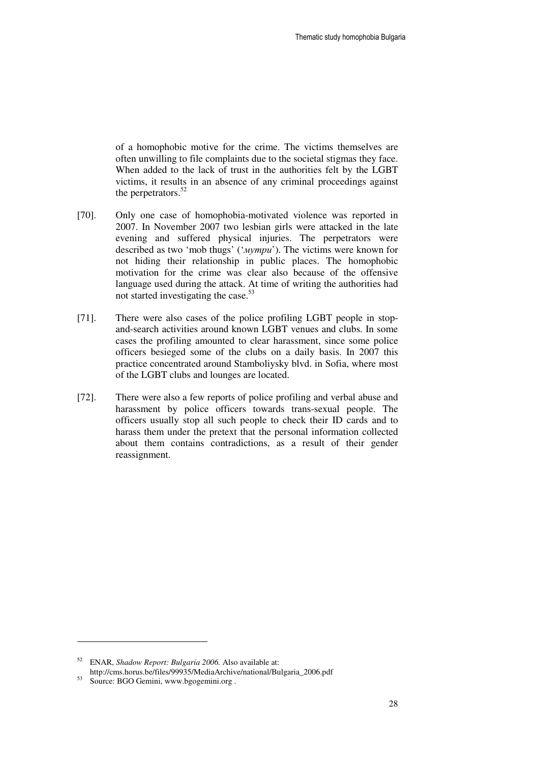of a homophobic motive for the crime. The victims themselves are often unwilling to file complaints due to the societal stigmas they face. When added to the lack of trust in the authorities felt by the LGBT victims, it results in an absence of any criminal proceedings against the perpetrators.<sup>52</sup>

- [70]. Only one case of homophobia-motivated violence was reported in 2007. In November 2007 two lesbian girls were attacked in the late evening and suffered physical injuries. The perpetrators were described as two 'mob thugs' ('мутри'). The victims were known for not hiding their relationship in public places. The homophobic motivation for the crime was clear also because of the offensive language used during the attack. At time of writing the authorities had not started investigating the case.<sup>53</sup>
- [71]. There were also cases of the police profiling LGBT people in stopand-search activities around known LGBT venues and clubs. In some cases the profiling amounted to clear harassment, since some police officers besieged some of the clubs on a daily basis. In 2007 this practice concentrated around Stamboliysky blvd. in Sofia, where most of the LGBT clubs and lounges are located.
- [72]. There were also a few reports of police profiling and verbal abuse and harassment by police officers towards trans-sexual people. The officers usually stop all such people to check their ID cards and to harass them under the pretext that the personal information collected about them contains contradictions, as a result of their gender reassignment.

<sup>52</sup> ENAR, *Shadow Report: Bulgaria 2006.* Also available at: http://cms.horus.be/files/99935/MediaArchive/national/Bulgaria\_2006.pdf

Source: BGO Gemini, www.bgogemini.org.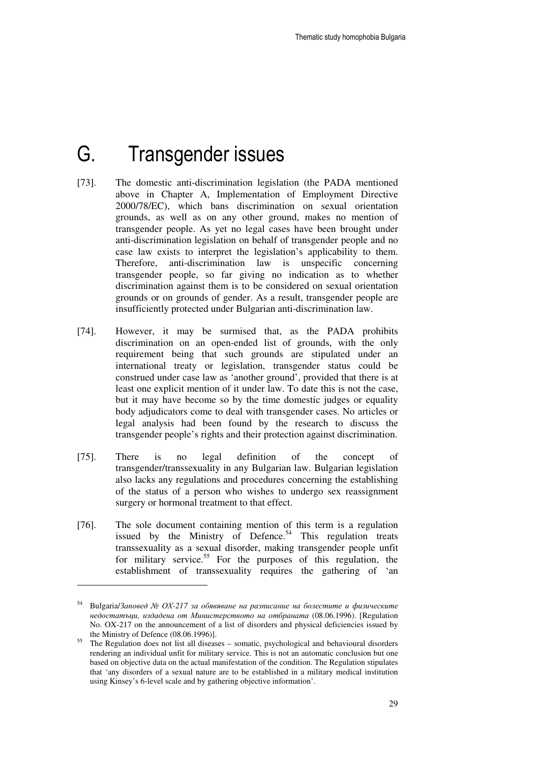## G. Transgender issues

- [73]. The domestic anti-discrimination legislation (the PADA mentioned above in Chapter A, Implementation of Employment Directive 2000/78/EC), which bans discrimination on sexual orientation grounds, as well as on any other ground, makes no mention of transgender people. As yet no legal cases have been brought under anti-discrimination legislation on behalf of transgender people and no case law exists to interpret the legislation's applicability to them. Therefore, anti-discrimination law is unspecific concerning transgender people, so far giving no indication as to whether discrimination against them is to be considered on sexual orientation grounds or on grounds of gender. As a result, transgender people are insufficiently protected under Bulgarian anti-discrimination law.
- [74]. However, it may be surmised that, as the PADA prohibits discrimination on an open-ended list of grounds, with the only requirement being that such grounds are stipulated under an international treaty or legislation, transgender status could be construed under case law as 'another ground', provided that there is at least one explicit mention of it under law. To date this is not the case, but it may have become so by the time domestic judges or equality body adjudicators come to deal with transgender cases. No articles or legal analysis had been found by the research to discuss the transgender people's rights and their protection against discrimination.
- [75]. There is no legal definition of the concept of transgender/transsexuality in any Bulgarian law. Bulgarian legislation also lacks any regulations and procedures concerning the establishing of the status of a person who wishes to undergo sex reassignment surgery or hormonal treatment to that effect.
- [76]. The sole document containing mention of this term is a regulation issued by the Ministry of Defence.<sup>54</sup> This regulation treats transsexuality as a sexual disorder, making transgender people unfit for military service.<sup>55</sup> For the purposes of this regulation, the establishment of transsexuality requires the gathering of 'an

<sup>54</sup> Bulgaria/Заповед № ОХ*-217* за обявяване на разписание на болестите и физическите недостатъци*,* издадена от Министерството на отбраната (08.06.1996). [Regulation No. OX-217 on the announcement of a list of disorders and physical deficiencies issued by the Ministry of Defence (08.06.1996)].

 $\frac{55}{25}$  The Regulation does not list all diseases – somatic, psychological and behavioural disorders rendering an individual unfit for military service. This is not an automatic conclusion but one based on objective data on the actual manifestation of the condition. The Regulation stipulates that 'any disorders of a sexual nature are to be established in a military medical institution using Kinsey's 6-level scale and by gathering objective information'.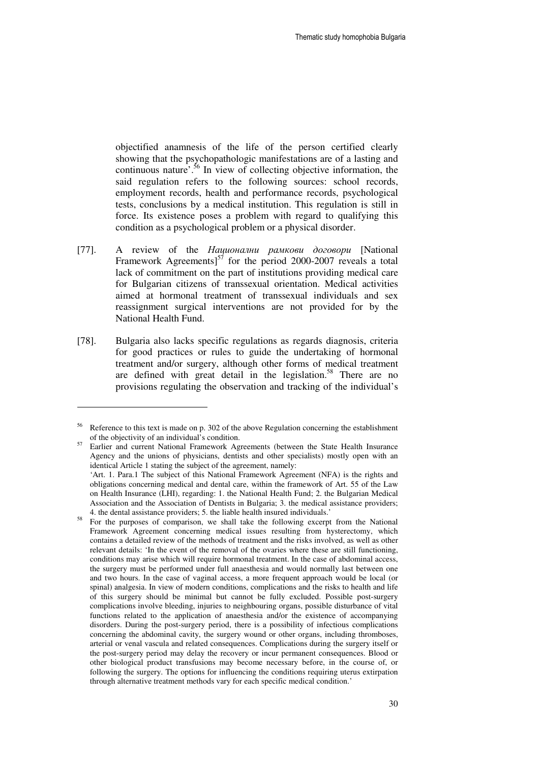objectified anamnesis of the life of the person certified clearly showing that the psychopathologic manifestations are of a lasting and continuous nature<sup> $\cdot$ , 56</sup> In view of collecting objective information, the said regulation refers to the following sources: school records, employment records, health and performance records, psychological tests, conclusions by a medical institution. This regulation is still in force. Its existence poses a problem with regard to qualifying this condition as a psychological problem or a physical disorder.

- [77]. A review of the Национални рамкови договори [National Framework Agreements $5^{57}$  for the period 2000-2007 reveals a total lack of commitment on the part of institutions providing medical care for Bulgarian citizens of transsexual orientation. Medical activities aimed at hormonal treatment of transsexual individuals and sex reassignment surgical interventions are not provided for by the National Health Fund.
- [78]. Bulgaria also lacks specific regulations as regards diagnosis, criteria for good practices or rules to guide the undertaking of hormonal treatment and/or surgery, although other forms of medical treatment are defined with great detail in the legislation.<sup>58</sup> There are no provisions regulating the observation and tracking of the individual's

 $56$  Reference to this text is made on p. 302 of the above Regulation concerning the establishment of the objectivity of an individual's condition.

<sup>57</sup> Earlier and current National Framework Agreements (between the State Health Insurance Agency and the unions of physicians, dentists and other specialists) mostly open with an identical Article 1 stating the subject of the agreement, namely:

<sup>&#</sup>x27;Art. 1. Para.1 The subject of this National Framework Agreement (NFA) is the rights and obligations concerning medical and dental care, within the framework of Art. 55 of the Law on Health Insurance (LHI), regarding: 1. the National Health Fund; 2. the Bulgarian Medical Association and the Association of Dentists in Bulgaria; 3. the medical assistance providers; 4. the dental assistance providers; 5. the liable health insured individuals.'

<sup>58</sup> For the purposes of comparison, we shall take the following excerpt from the National Framework Agreement concerning medical issues resulting from hysterectomy, which contains a detailed review of the methods of treatment and the risks involved, as well as other relevant details: 'In the event of the removal of the ovaries where these are still functioning, conditions may arise which will require hormonal treatment. In the case of abdominal access, the surgery must be performed under full anaesthesia and would normally last between one and two hours. In the case of vaginal access, a more frequent approach would be local (or spinal) analgesia. In view of modern conditions, complications and the risks to health and life of this surgery should be minimal but cannot be fully excluded. Possible post-surgery complications involve bleeding, injuries to neighbouring organs, possible disturbance of vital functions related to the application of anaesthesia and/or the existence of accompanying disorders. During the post-surgery period, there is a possibility of infectious complications concerning the abdominal cavity, the surgery wound or other organs, including thromboses, arterial or venal vascula and related consequences. Complications during the surgery itself or the post-surgery period may delay the recovery or incur permanent consequences. Blood or other biological product transfusions may become necessary before, in the course of, or following the surgery. The options for influencing the conditions requiring uterus extirpation through alternative treatment methods vary for each specific medical condition.'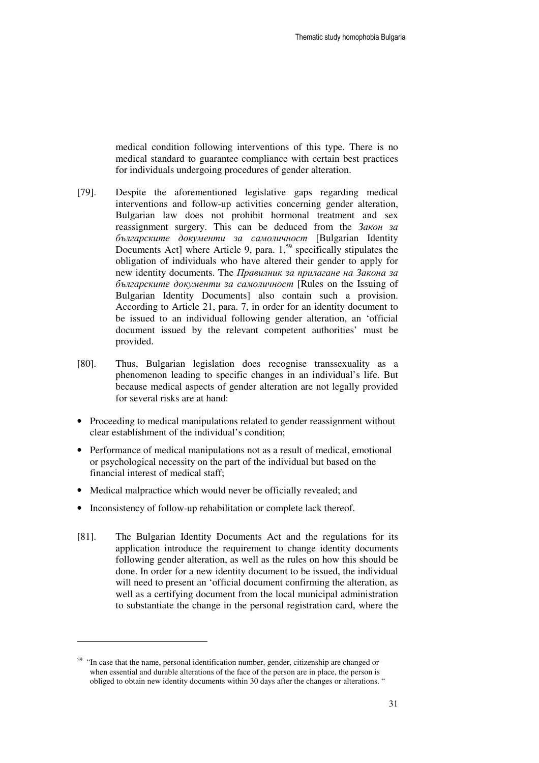medical condition following interventions of this type. There is no medical standard to guarantee compliance with certain best practices for individuals undergoing procedures of gender alteration.

- [79]. Despite the aforementioned legislative gaps regarding medical interventions and follow-up activities concerning gender alteration, Bulgarian law does not prohibit hormonal treatment and sex reassignment surgery. This can be deduced from the Закон за българските документи за самоличност [Bulgarian Identity Documents Act] where Article 9, para.  $1<sup>59</sup>$  specifically stipulates the obligation of individuals who have altered their gender to apply for new identity documents. The Правилник за прилагане на Закона за българските документи за самоличност [Rules on the Issuing of Bulgarian Identity Documents] also contain such a provision. According to Article 21, para. 7, in order for an identity document to be issued to an individual following gender alteration, an 'official document issued by the relevant competent authorities' must be provided.
- [80]. Thus, Bulgarian legislation does recognise transsexuality as a phenomenon leading to specific changes in an individual's life. But because medical aspects of gender alteration are not legally provided for several risks are at hand:
- Proceeding to medical manipulations related to gender reassignment without clear establishment of the individual's condition;
- Performance of medical manipulations not as a result of medical, emotional or psychological necessity on the part of the individual but based on the financial interest of medical staff;
- Medical malpractice which would never be officially revealed; and
- Inconsistency of follow-up rehabilitation or complete lack thereof.
- [81]. The Bulgarian Identity Documents Act and the regulations for its application introduce the requirement to change identity documents following gender alteration, as well as the rules on how this should be done. In order for a new identity document to be issued, the individual will need to present an 'official document confirming the alteration, as well as a certifying document from the local municipal administration to substantiate the change in the personal registration card, where the

<sup>&</sup>lt;sup>59</sup> "In case that the name, personal identification number, gender, citizenship are changed or when essential and durable alterations of the face of the person are in place, the person is obliged to obtain new identity documents within 30 days after the changes or alterations. "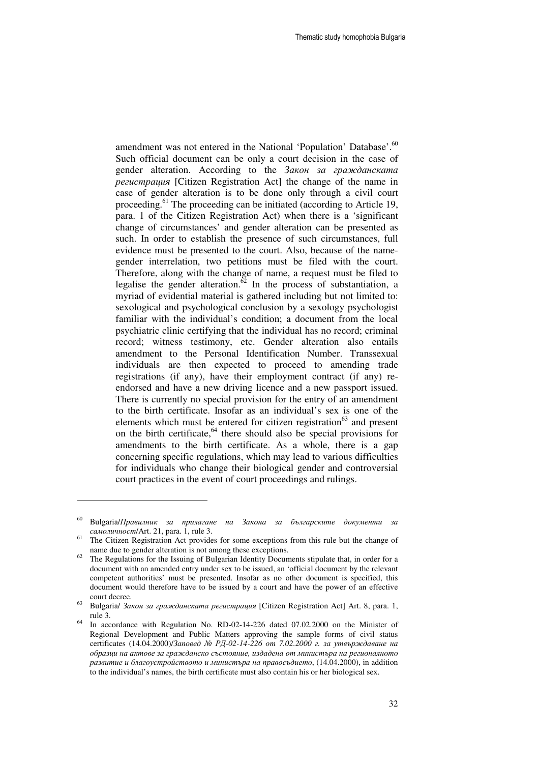amendment was not entered in the National 'Population' Database'.<sup>60</sup> Such official document can be only a court decision in the case of gender alteration. According to the Закон за гражданската регистрация [Citizen Registration Act] the change of the name in case of gender alteration is to be done only through a civil court proceeding.<sup>61</sup> The proceeding can be initiated (according to Article 19, para. 1 of the Citizen Registration Act) when there is a 'significant change of circumstances' and gender alteration can be presented as such. In order to establish the presence of such circumstances, full evidence must be presented to the court. Also, because of the namegender interrelation, two petitions must be filed with the court. Therefore, along with the change of name, a request must be filed to legalise the gender alteration. $62$  In the process of substantiation, a myriad of evidential material is gathered including but not limited to: sexological and psychological conclusion by a sexology psychologist familiar with the individual's condition; a document from the local psychiatric clinic certifying that the individual has no record; criminal record; witness testimony, etc. Gender alteration also entails amendment to the Personal Identification Number. Transsexual individuals are then expected to proceed to amending trade registrations (if any), have their employment contract (if any) reendorsed and have a new driving licence and a new passport issued. There is currently no special provision for the entry of an amendment to the birth certificate. Insofar as an individual's sex is one of the elements which must be entered for citizen registration $63$  and present on the birth certificate, $64$  there should also be special provisions for amendments to the birth certificate. As a whole, there is a gap concerning specific regulations, which may lead to various difficulties for individuals who change their biological gender and controversial court practices in the event of court proceedings and rulings.

 $60$  Bulgaria/Правилник за прилагане на Закона за българските документи за самоличност/Art. 21, para. 1, rule 3.

<sup>&</sup>lt;sup>61</sup> The Citizen Registration Act provides for some exceptions from this rule but the change of name due to gender alteration is not among these exceptions.

The Regulations for the Issuing of Bulgarian Identity Documents stipulate that, in order for a document with an amended entry under sex to be issued, an 'official document by the relevant competent authorities' must be presented. Insofar as no other document is specified, this document would therefore have to be issued by a court and have the power of an effective court decree.

<sup>63</sup> Bulgaria/ Закон за гражданската регистрация [Citizen Registration Act] Art. 8, para. 1, rule 3.

<sup>64</sup> In accordance with Regulation No. RD-02-14-226 dated 07.02.2000 on the Minister of Regional Development and Public Matters approving the sample forms of civil status certificates (14.04.2000)/Заповед № РД*-02-14-226* от *7.02.2000* г*.* за утвърждаване на образци на актове за гражданско състояние*,* издадена от министъра на регионалното развитие и благоустройството и министъра на правосъдието, (14.04.2000), in addition to the individual's names, the birth certificate must also contain his or her biological sex.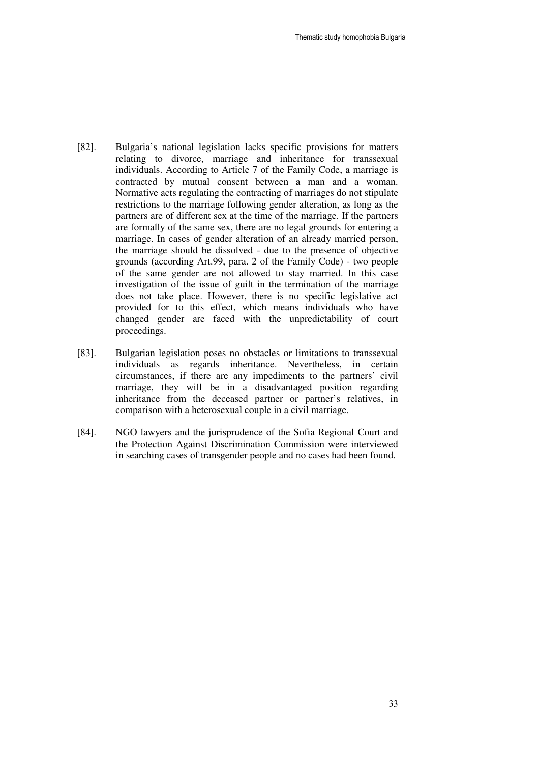- [82]. Bulgaria's national legislation lacks specific provisions for matters relating to divorce, marriage and inheritance for transsexual individuals. According to Article 7 of the Family Code, a marriage is contracted by mutual consent between a man and a woman. Normative acts regulating the contracting of marriages do not stipulate restrictions to the marriage following gender alteration, as long as the partners are of different sex at the time of the marriage. If the partners are formally of the same sex, there are no legal grounds for entering a marriage. In cases of gender alteration of an already married person, the marriage should be dissolved - due to the presence of objective grounds (according Art.99, para. 2 of the Family Code) - two people of the same gender are not allowed to stay married. In this case investigation of the issue of guilt in the termination of the marriage does not take place. However, there is no specific legislative act provided for to this effect, which means individuals who have changed gender are faced with the unpredictability of court proceedings.
- [83]. Bulgarian legislation poses no obstacles or limitations to transsexual individuals as regards inheritance. Nevertheless, in certain circumstances, if there are any impediments to the partners' civil marriage, they will be in a disadvantaged position regarding inheritance from the deceased partner or partner's relatives, in comparison with a heterosexual couple in a civil marriage.
- [84]. NGO lawyers and the jurisprudence of the Sofia Regional Court and the Protection Against Discrimination Commission were interviewed in searching cases of transgender people and no cases had been found.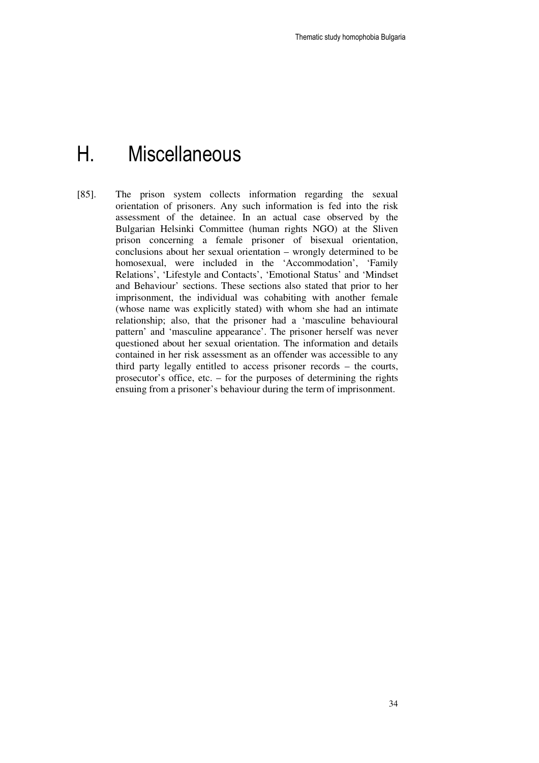## H. Miscellaneous

[85]. The prison system collects information regarding the sexual orientation of prisoners. Any such information is fed into the risk assessment of the detainee. In an actual case observed by the Bulgarian Helsinki Committee (human rights NGO) at the Sliven prison concerning a female prisoner of bisexual orientation, conclusions about her sexual orientation – wrongly determined to be homosexual, were included in the 'Accommodation', 'Family Relations', 'Lifestyle and Contacts', 'Emotional Status' and 'Mindset and Behaviour' sections. These sections also stated that prior to her imprisonment, the individual was cohabiting with another female (whose name was explicitly stated) with whom she had an intimate relationship; also, that the prisoner had a 'masculine behavioural pattern' and 'masculine appearance'. The prisoner herself was never questioned about her sexual orientation. The information and details contained in her risk assessment as an offender was accessible to any third party legally entitled to access prisoner records – the courts, prosecutor's office, etc. – for the purposes of determining the rights ensuing from a prisoner's behaviour during the term of imprisonment.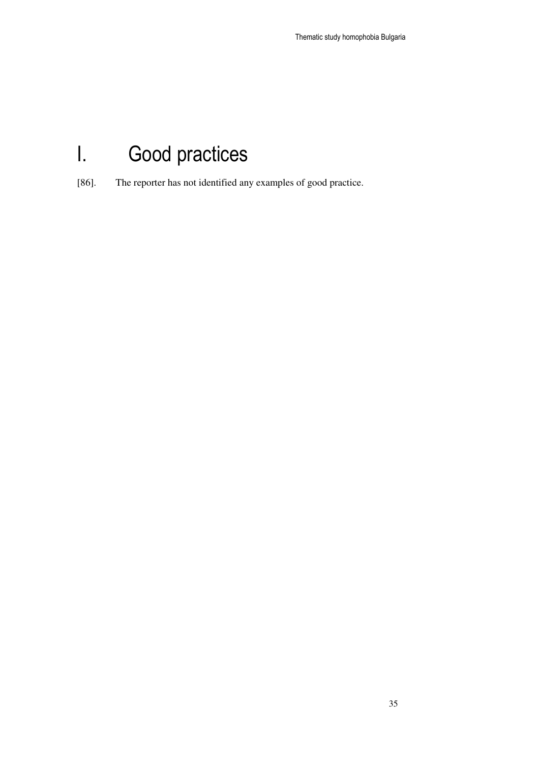# I. Good practices

[86]. The reporter has not identified any examples of good practice.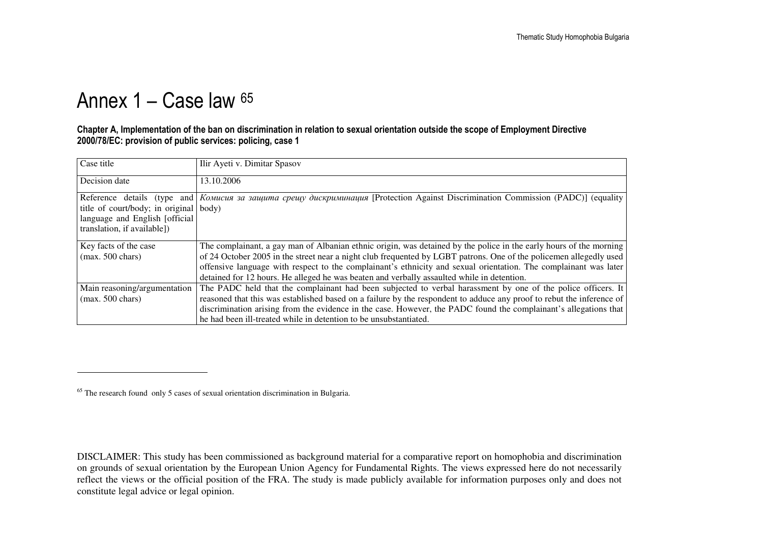## Annex 1 – Case law 65

#### Chapter A, Implementation of the ban on discrimination in relation to sexual orientation outside the scope of Employment Directive 2000/78/EC: provision of public services: policing, case 1

| Case title                                                                                               | Ilir Ayeti v. Dimitar Spasov                                                                                                                                                                                                                                                                                                                                                                                                                               |
|----------------------------------------------------------------------------------------------------------|------------------------------------------------------------------------------------------------------------------------------------------------------------------------------------------------------------------------------------------------------------------------------------------------------------------------------------------------------------------------------------------------------------------------------------------------------------|
| Decision date                                                                                            | 13.10.2006                                                                                                                                                                                                                                                                                                                                                                                                                                                 |
| title of court/body; in original body)<br>language and English [official]<br>translation, if available]) | Reference details (type and Komucus за защита срещу дискриминация [Protection Against Discrimination Commission (PADC)] (equality                                                                                                                                                                                                                                                                                                                          |
| Key facts of the case<br>$(max. 500 \text{ chars})$                                                      | The complainant, a gay man of Albanian ethnic origin, was detained by the police in the early hours of the morning<br>of 24 October 2005 in the street near a night club frequented by LGBT patrons. One of the policemen allegedly used<br>offensive language with respect to the complainant's ethnicity and sexual orientation. The complainant was later<br>detained for 12 hours. He alleged he was beaten and verbally assaulted while in detention. |
| Main reasoning/argumentation<br>$(max. 500 \text{ chars})$                                               | The PADC held that the complainant had been subjected to verbal harassment by one of the police officers. It<br>reasoned that this was established based on a failure by the respondent to adduce any proof to rebut the inference of<br>discrimination arising from the evidence in the case. However, the PADC found the complainant's allegations that<br>he had been ill-treated while in detention to be unsubstantiated.                             |

<sup>&</sup>lt;sup>65</sup> The research found only 5 cases of sexual orientation discrimination in Bulgaria.

DISCLAIMER: This study has been commissioned as background material for a comparative report on homophobia and discrimination on grounds of sexual orientation by the European Union Agency for Fundamental Rights. The views expressed here do not necessarily reflect the views or the official position of the FRA. The study is made publicly available for information purposes only and does not constitute legal advice or legal opinion.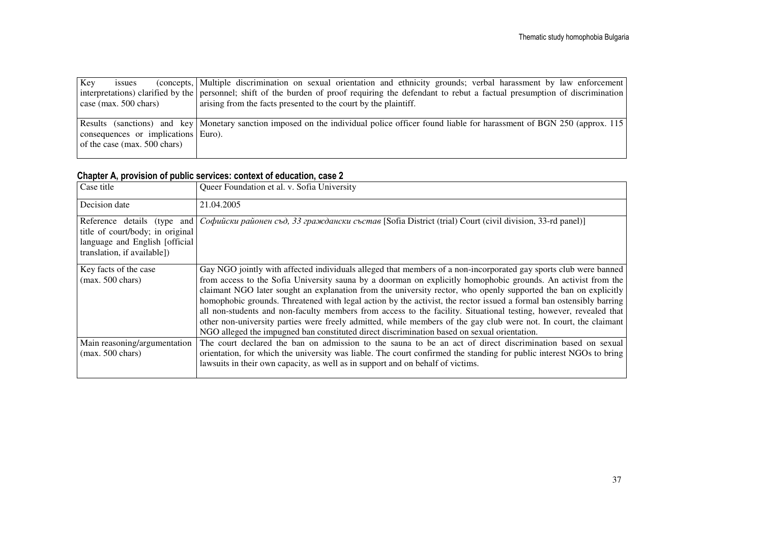| Key                                    | <i>ssues</i> |                                    | (concepts, Multiple discrimination on sexual orientation and ethnicity grounds; verbal harassment by law enforcement)                              |
|----------------------------------------|--------------|------------------------------------|----------------------------------------------------------------------------------------------------------------------------------------------------|
|                                        |              |                                    | interpretations) clarified by the personnel; shift of the burden of proof requiring the defendant to rebut a factual presumption of discrimination |
| $\cos(\text{max. } 500 \text{ chars})$ |              |                                    | arising from the facts presented to the court by the plaintiff.                                                                                    |
|                                        |              |                                    |                                                                                                                                                    |
|                                        |              |                                    | Results (sanctions) and key Monetary sanction imposed on the individual police officer found liable for harassment of BGN 250 (approx. 115)        |
|                                        |              | consequences or implications Euro. |                                                                                                                                                    |
|                                        |              | of the case (max. $500$ chars)     |                                                                                                                                                    |
|                                        |              |                                    |                                                                                                                                                    |

#### Chapter A, provision of public services: context of education, case 2

| Case title                                                                                         | Queer Foundation et al. v. Sofia University                                                                                                                                                                                                                                                                                                                                                                                                                                                                                                                                                                                                                                                                                                                                                                          |
|----------------------------------------------------------------------------------------------------|----------------------------------------------------------------------------------------------------------------------------------------------------------------------------------------------------------------------------------------------------------------------------------------------------------------------------------------------------------------------------------------------------------------------------------------------------------------------------------------------------------------------------------------------------------------------------------------------------------------------------------------------------------------------------------------------------------------------------------------------------------------------------------------------------------------------|
| Decision date                                                                                      | 21.04.2005                                                                                                                                                                                                                                                                                                                                                                                                                                                                                                                                                                                                                                                                                                                                                                                                           |
| title of court/body; in original<br>language and English [official]<br>translation, if available]) | Reference details (type and <i>Coduucku районен съд, 33 граждански състав</i> [Sofia District (trial) Court (civil division, 33-rd panel)]                                                                                                                                                                                                                                                                                                                                                                                                                                                                                                                                                                                                                                                                           |
| Key facts of the case<br>$(max. 500 \text{ chars})$                                                | Gay NGO jointly with affected individuals alleged that members of a non-incorporated gay sports club were banned<br>from access to the Sofia University sauna by a doorman on explicitly homophobic grounds. An activist from the<br>claimant NGO later sought an explanation from the university rector, who openly supported the ban on explicitly<br>homophobic grounds. Threatened with legal action by the activist, the rector issued a formal ban ostensibly barring<br>all non-students and non-faculty members from access to the facility. Situational testing, however, revealed that<br>other non-university parties were freely admitted, while members of the gay club were not. In court, the claimant<br>NGO alleged the impugned ban constituted direct discrimination based on sexual orientation. |
| Main reasoning/argumentation<br>$(max. 500 \text{ chars})$                                         | The court declared the ban on admission to the sauna to be an act of direct discrimination based on sexual<br>orientation, for which the university was liable. The court confirmed the standing for public interest NGOs to bring<br>lawsuits in their own capacity, as well as in support and on behalf of victims.                                                                                                                                                                                                                                                                                                                                                                                                                                                                                                |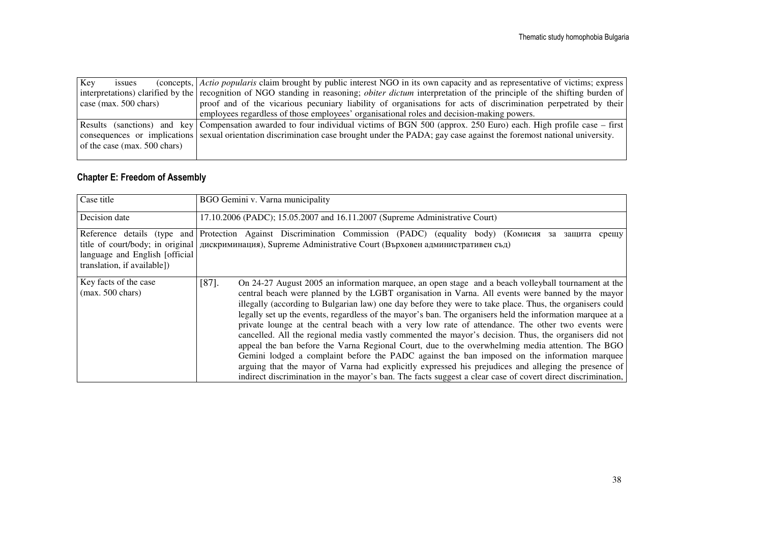| Kev                     | <i>ssues</i> |                                | (concepts, Actio popularis claim brought by public interest NGO in its own capacity and as representative of victims; express                              |
|-------------------------|--------------|--------------------------------|------------------------------------------------------------------------------------------------------------------------------------------------------------|
|                         |              |                                | interpretations) clarified by the recognition of NGO standing in reasoning; <i>obiter dictum</i> interpretation of the principle of the shifting burden of |
| case (max. $500$ chars) |              |                                | proof and of the vicarious pecuniary liability of organisations for acts of discrimination perpetrated by their                                            |
|                         |              |                                | employees regardless of those employees' organisational roles and decision-making powers.                                                                  |
|                         |              |                                | Results (sanctions) and key Compensation awarded to four individual victims of BGN 500 (approx. 250 Euro) each. High profile case – first                  |
|                         |              |                                | consequences or implications sexual orientation discrimination case brought under the PADA; gay case against the foremost national university.             |
|                         |              | of the case (max. $500$ chars) |                                                                                                                                                            |
|                         |              |                                |                                                                                                                                                            |

#### Chapter E: Freedom of Assembly

| Case title                                                     | BGO Gemini v. Varna municipality                                                                                                                                                                                                                                                                                                                                                                                                                                                                                                                                                                                                                                                                                                                                                                                                                                                                                                                                                                                                                                                         |  |  |  |  |  |  |
|----------------------------------------------------------------|------------------------------------------------------------------------------------------------------------------------------------------------------------------------------------------------------------------------------------------------------------------------------------------------------------------------------------------------------------------------------------------------------------------------------------------------------------------------------------------------------------------------------------------------------------------------------------------------------------------------------------------------------------------------------------------------------------------------------------------------------------------------------------------------------------------------------------------------------------------------------------------------------------------------------------------------------------------------------------------------------------------------------------------------------------------------------------------|--|--|--|--|--|--|
| Decision date                                                  | 17.10.2006 (PADC); 15.05.2007 and 16.11.2007 (Supreme Administrative Court)                                                                                                                                                                                                                                                                                                                                                                                                                                                                                                                                                                                                                                                                                                                                                                                                                                                                                                                                                                                                              |  |  |  |  |  |  |
| language and English [official]<br>translation, if available]) | Reference details (type and Protection Against Discrimination Commission (PADC) (equality body) (Комисия за защита<br>срещу<br>title of court/body; in original   дискриминация), Supreme Administrative Court (Върховен административен съд)                                                                                                                                                                                                                                                                                                                                                                                                                                                                                                                                                                                                                                                                                                                                                                                                                                            |  |  |  |  |  |  |
| Key facts of the case<br>$(max. 500 \text{ chars})$            | $[87]$ .<br>On 24-27 August 2005 an information marquee, an open stage and a beach volleyball tournament at the<br>central beach were planned by the LGBT organisation in Varna. All events were banned by the mayor<br>illegally (according to Bulgarian law) one day before they were to take place. Thus, the organisers could<br>legally set up the events, regardless of the mayor's ban. The organisers held the information marquee at a<br>private lounge at the central beach with a very low rate of attendance. The other two events were<br>cancelled. All the regional media vastly commented the mayor's decision. Thus, the organisers did not<br>appeal the ban before the Varna Regional Court, due to the overwhelming media attention. The BGO<br>Gemini lodged a complaint before the PADC against the ban imposed on the information marquee<br>arguing that the mayor of Varna had explicitly expressed his prejudices and alleging the presence of<br>indirect discrimination in the mayor's ban. The facts suggest a clear case of covert direct discrimination, |  |  |  |  |  |  |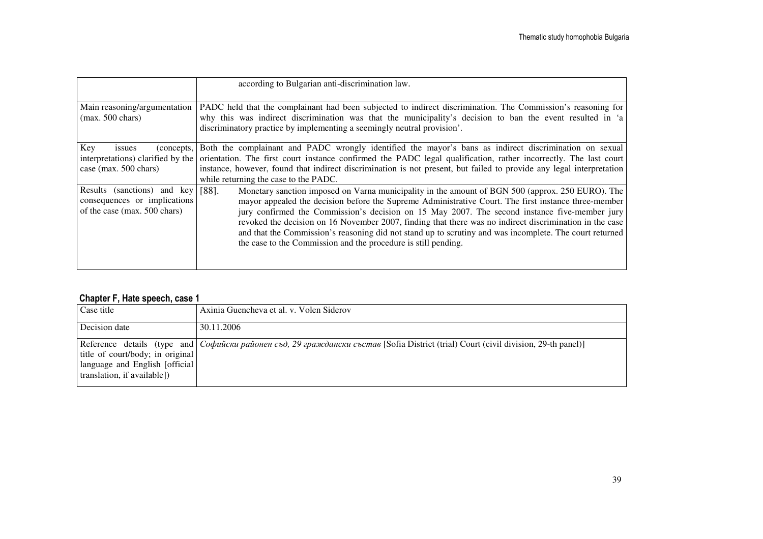|                                                                                             | according to Bulgarian anti-discrimination law.                                                                                                                                                                                                                                                                                                                                                                                                                                                                                                                                                               |  |  |  |  |
|---------------------------------------------------------------------------------------------|---------------------------------------------------------------------------------------------------------------------------------------------------------------------------------------------------------------------------------------------------------------------------------------------------------------------------------------------------------------------------------------------------------------------------------------------------------------------------------------------------------------------------------------------------------------------------------------------------------------|--|--|--|--|
| Main reasoning/argumentation<br>$(max. 500 \text{ chars})$                                  | PADC held that the complainant had been subjected to indirect discrimination. The Commission's reasoning for<br>why this was indirect discrimination was that the municipality's decision to ban the event resulted in 'a<br>discriminatory practice by implementing a seemingly neutral provision'.                                                                                                                                                                                                                                                                                                          |  |  |  |  |
| Key<br>(concepts,<br>issues<br>interpretations) clarified by the<br>case (max. 500 chars)   | Both the complainant and PADC wrongly identified the mayor's bans as indirect discrimination on sexual<br>orientation. The first court instance confirmed the PADC legal qualification, rather incorrectly. The last court<br>instance, however, found that indirect discrimination is not present, but failed to provide any legal interpretation<br>while returning the case to the PADC.                                                                                                                                                                                                                   |  |  |  |  |
| Results (sanctions) and key<br>consequences or implications<br>of the case (max. 500 chars) | $[88]$ .<br>Monetary sanction imposed on Varna municipality in the amount of BGN 500 (approx. 250 EURO). The<br>mayor appealed the decision before the Supreme Administrative Court. The first instance three-member<br>jury confirmed the Commission's decision on 15 May 2007. The second instance five-member jury<br>revoked the decision on 16 November 2007, finding that there was no indirect discrimination in the case<br>and that the Commission's reasoning did not stand up to scrutiny and was incomplete. The court returned<br>the case to the Commission and the procedure is still pending. |  |  |  |  |

#### Chapter F, Hate speech, case 1

| Case title                                                                                         | Axinia Guencheva et al. v. Volen Siderov                                                                                                             |
|----------------------------------------------------------------------------------------------------|------------------------------------------------------------------------------------------------------------------------------------------------------|
| Decision date                                                                                      | 30.11.2006                                                                                                                                           |
| title of court/body; in original<br>language and English [official]<br>translation, if available]) | Reference details (type and $\lfloor$ <i>Coduucku районен съд, 29 граждански състав</i> [Sofia District (trial) Court (civil division, 29-th panel)] |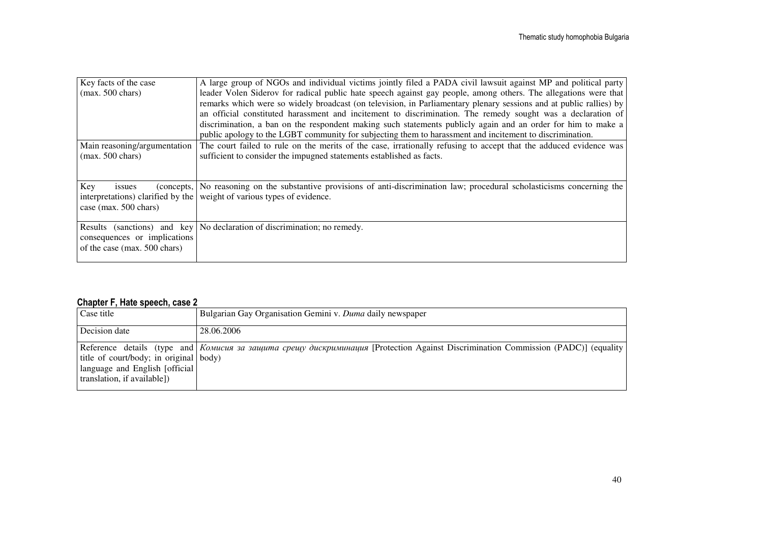| Key facts of the case                                                                                    | A large group of NGOs and individual victims jointly filed a PADA civil lawsuit against MP and political party                                                                                                                                                                     |  |  |  |  |
|----------------------------------------------------------------------------------------------------------|------------------------------------------------------------------------------------------------------------------------------------------------------------------------------------------------------------------------------------------------------------------------------------|--|--|--|--|
| $(max. 500 \text{ chars})$                                                                               | leader Volen Siderov for radical public hate speech against gay people, among others. The allegations were that                                                                                                                                                                    |  |  |  |  |
|                                                                                                          | remarks which were so widely broadcast (on television, in Parliamentary plenary sessions and at public rallies) by                                                                                                                                                                 |  |  |  |  |
|                                                                                                          | an official constituted harassment and incitement to discrimination. The remedy sought was a declaration of                                                                                                                                                                        |  |  |  |  |
|                                                                                                          | discrimination, a ban on the respondent making such statements publicly again and an order for him to make a                                                                                                                                                                       |  |  |  |  |
|                                                                                                          | public apology to the LGBT community for subjecting them to harassment and incitement to discrimination.                                                                                                                                                                           |  |  |  |  |
| Main reasoning/argumentation                                                                             | The court failed to rule on the merits of the case, irrationally refusing to accept that the adduced evidence was                                                                                                                                                                  |  |  |  |  |
| $(max. 500 \text{ chars})$                                                                               | sufficient to consider the impugned statements established as facts.                                                                                                                                                                                                               |  |  |  |  |
|                                                                                                          |                                                                                                                                                                                                                                                                                    |  |  |  |  |
|                                                                                                          |                                                                                                                                                                                                                                                                                    |  |  |  |  |
|                                                                                                          |                                                                                                                                                                                                                                                                                    |  |  |  |  |
|                                                                                                          |                                                                                                                                                                                                                                                                                    |  |  |  |  |
|                                                                                                          |                                                                                                                                                                                                                                                                                    |  |  |  |  |
|                                                                                                          |                                                                                                                                                                                                                                                                                    |  |  |  |  |
|                                                                                                          |                                                                                                                                                                                                                                                                                    |  |  |  |  |
|                                                                                                          |                                                                                                                                                                                                                                                                                    |  |  |  |  |
|                                                                                                          |                                                                                                                                                                                                                                                                                    |  |  |  |  |
| Key<br>issues<br>case (max. $500$ chars)<br>consequences or implications<br>of the case (max. 500 chars) | (concepts, No reasoning on the substantive provisions of anti-discrimination law; procedural scholasticisms concerning the<br>interpretations) clarified by the weight of various types of evidence.<br>Results (sanctions) and key   No declaration of discrimination; no remedy. |  |  |  |  |

#### Chapter F, Hate speech, case 2

| Case title                                                                                               | Bulgarian Gay Organisation Gemini v. Duma daily newspaper                                                                         |
|----------------------------------------------------------------------------------------------------------|-----------------------------------------------------------------------------------------------------------------------------------|
| Decision date                                                                                            | 28.06.2006                                                                                                                        |
| title of court/body; in original body)<br>language and English [official]<br>translation, if available]) | Reference details (type and Komucus за защита срещу дискриминация [Protection Against Discrimination Commission (PADC)] (equality |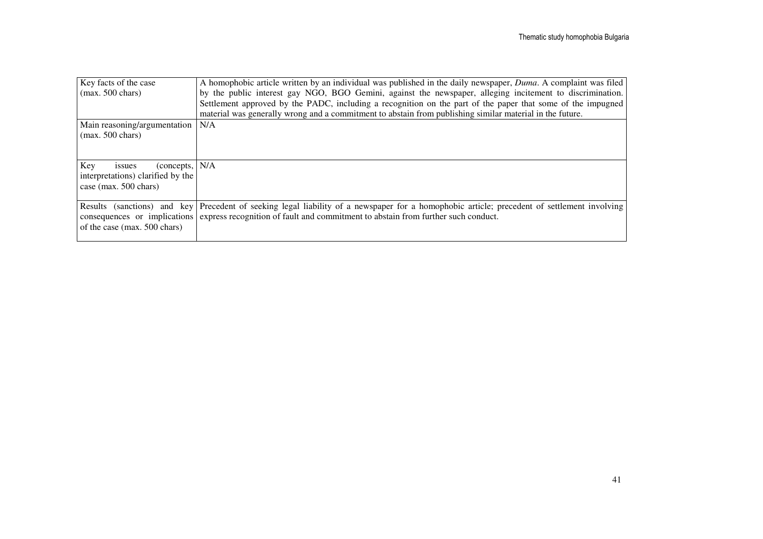| Key facts of the case             | A homophobic article written by an individual was published in the daily newspaper, <i>Duma</i> . A complaint was filed                     |
|-----------------------------------|---------------------------------------------------------------------------------------------------------------------------------------------|
| $(max. 500 \text{ chars})$        | by the public interest gay NGO, BGO Gemini, against the newspaper, alleging incitement to discrimination.                                   |
|                                   | Settlement approved by the PADC, including a recognition on the part of the paper that some of the impugned                                 |
|                                   | material was generally wrong and a commitment to abstain from publishing similar material in the future.                                    |
| Main reasoning/argumentation      | N/A                                                                                                                                         |
| $(max. 500 \text{ chars})$        |                                                                                                                                             |
|                                   |                                                                                                                                             |
|                                   |                                                                                                                                             |
| Key<br>(concepts, N/A<br>issues   |                                                                                                                                             |
| interpretations) clarified by the |                                                                                                                                             |
| case (max. $500$ chars)           |                                                                                                                                             |
|                                   |                                                                                                                                             |
|                                   | Results (sanctions) and key Precedent of seeking legal liability of a newspaper for a homophobic article; precedent of settlement involving |
|                                   | consequences or implications express recognition of fault and commitment to abstain from further such conduct.                              |
| of the case (max. 500 chars)      |                                                                                                                                             |
|                                   |                                                                                                                                             |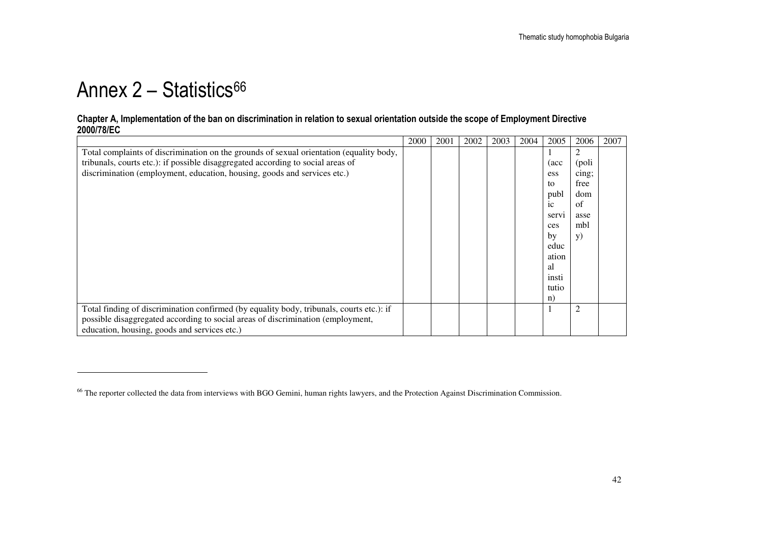## Annex  $2 -$  Statistics<sup>66</sup>

#### Chapter A, Implementation of the ban on discrimination in relation to sexual orientation outside the scope of Employment Directive 2000/78/EC

|                                                                                          | 2000 | 2001 | 2002 | 2003 | 2004 | 2005           | 2006       | 2007 |
|------------------------------------------------------------------------------------------|------|------|------|------|------|----------------|------------|------|
| Total complaints of discrimination on the grounds of sexual orientation (equality body,  |      |      |      |      |      |                |            |      |
| tribunals, courts etc.): if possible disaggregated according to social areas of          |      |      |      |      |      | (acc           | (poli      |      |
| discrimination (employment, education, housing, goods and services etc.)                 |      |      |      |      |      | ess            | cing;      |      |
|                                                                                          |      |      |      |      |      | to             | free       |      |
|                                                                                          |      |      |      |      |      | publ           | dom        |      |
|                                                                                          |      |      |      |      |      | 1 <sup>c</sup> | of         |      |
|                                                                                          |      |      |      |      |      | servi          | asse       |      |
|                                                                                          |      |      |      |      |      | ces            | mbl        |      |
|                                                                                          |      |      |      |      |      | by             | <b>y</b> ) |      |
|                                                                                          |      |      |      |      |      | educ           |            |      |
|                                                                                          |      |      |      |      |      | ation          |            |      |
|                                                                                          |      |      |      |      |      | al             |            |      |
|                                                                                          |      |      |      |      |      | insti          |            |      |
|                                                                                          |      |      |      |      |      | tutio          |            |      |
|                                                                                          |      |      |      |      |      | n)             |            |      |
| Total finding of discrimination confirmed (by equality body, tribunals, courts etc.): if |      |      |      |      |      |                | 2          |      |
| possible disaggregated according to social areas of discrimination (employment,          |      |      |      |      |      |                |            |      |
| education, housing, goods and services etc.)                                             |      |      |      |      |      |                |            |      |

<sup>&</sup>lt;sup>66</sup> The reporter collected the data from interviews with BGO Gemini, human rights lawyers, and the Protection Against Discrimination Commission.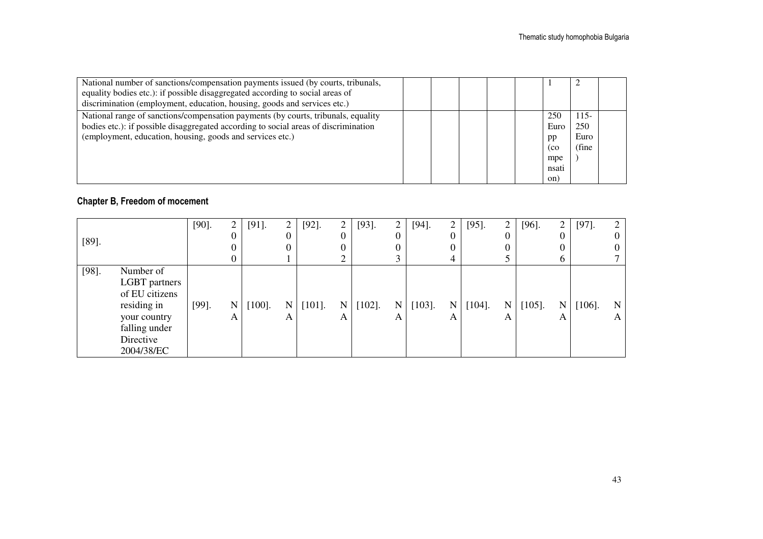| National number of sanctions/compensation payments issued (by courts, tribunals,<br>equality bodies etc.): if possible disaggregated according to social areas of<br>discrimination (employment, education, housing, goods and services etc.) |  |  |                                                 |                                 |  |
|-----------------------------------------------------------------------------------------------------------------------------------------------------------------------------------------------------------------------------------------------|--|--|-------------------------------------------------|---------------------------------|--|
| National range of sanctions/compensation payments (by courts, tribunals, equality<br>bodies etc.): if possible disaggregated according to social areas of discrimination<br>(employment, education, housing, goods and services etc.)         |  |  | 250<br>Euro<br>pp<br>(co<br>mpe<br>nsati<br>on) | $115-$<br>250<br>Euro<br>(fine) |  |

#### Chapter B, Freedom of mocement

|          |                | $[90]$ . | ∠        | $[91]$ .  | $\overline{2}$ | $[92]$ .  | 2           | $[93]$ .  | ∠         | $[94]$ .  | $\overline{2}$ | $[95]$ .  | $\overline{2}$ | $[96]$ .  | $\overline{2}$ | $[97]$ .  | ◠ |
|----------|----------------|----------|----------|-----------|----------------|-----------|-------------|-----------|-----------|-----------|----------------|-----------|----------------|-----------|----------------|-----------|---|
|          |                |          | $^{(1)}$ |           | 0              |           | 0           |           |           |           | 0              |           | 0              |           | 0              |           |   |
| $[89]$ . |                |          |          |           |                |           | 0           |           |           |           | 0              |           |                |           | 0              |           |   |
|          |                |          |          |           |                |           | ⌒           |           |           |           | 4              |           |                |           | 6              |           |   |
| $[98]$ . | Number of      |          |          |           |                |           |             |           |           |           |                |           |                |           |                |           |   |
|          | LGBT partners  |          |          |           |                |           |             |           |           |           |                |           |                |           |                |           |   |
|          | of EU citizens |          |          |           |                |           |             |           |           |           |                |           |                |           |                |           |   |
|          | residing in    | $[99]$ . | N        | $[100]$ . | N              | $[101]$ . | $\mathbf N$ | $[102]$ . | $N_{\rm}$ | $[103]$ . | N              | $[104]$ . | N              | $[105]$ . | N              | $[106]$ . | N |
|          | your country   |          | А        |           | A              |           | A           |           | A         |           | А              |           | А              |           | A              |           | A |
|          | falling under  |          |          |           |                |           |             |           |           |           |                |           |                |           |                |           |   |
|          | Directive      |          |          |           |                |           |             |           |           |           |                |           |                |           |                |           |   |
|          | 2004/38/EC     |          |          |           |                |           |             |           |           |           |                |           |                |           |                |           |   |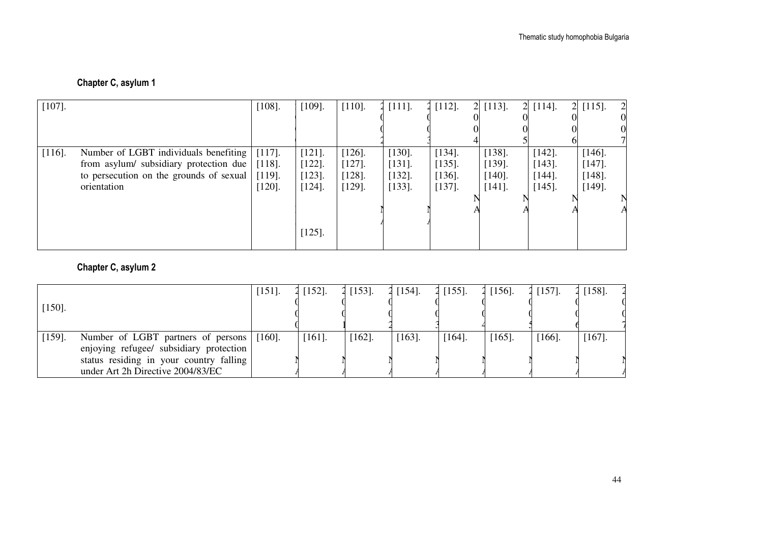#### Chapter C, asylum 1

| $[107]$ . |                                         | $[108]$ . | $[109]$ . | $[110]$ . | $[111]$ . | $[112]$ .<br>$\overline{2}$ | $[113]$ .<br>2 | $[114]$ . | $2$ [115].<br>$\overline{c}$ |
|-----------|-----------------------------------------|-----------|-----------|-----------|-----------|-----------------------------|----------------|-----------|------------------------------|
|           |                                         |           |           |           |           |                             |                |           |                              |
|           |                                         |           |           |           |           |                             |                |           |                              |
|           |                                         |           |           |           |           |                             |                |           |                              |
| $[116]$ . | Number of LGBT individuals benefiting   | $[117]$ . | $[121]$ . | $[126]$ . | $[130]$ . | $[134]$ .                   | $[138]$ .      | $[142]$ . | $[146]$ .                    |
|           | from asylum/ subsidiary protection due  | $[118]$ . | $[122]$ . | $[127]$ . | $[131]$ . | $[135]$ .                   | $[139]$ .      | $[143]$ . | $[147]$ .                    |
|           | to persecution on the grounds of sexual | $[119]$ . | $[123]$ . | $[128]$ . | $[132]$ . | $[136]$ .                   | $[140]$ .      | $[144]$ . | $[148]$ .                    |
|           | orientation                             | $[120]$ . | $[124]$ . | $[129]$ . | $[133]$ . | $[137]$ .                   | $[141]$ .      | $[145]$ . | $[149]$ .                    |
|           |                                         |           |           |           |           |                             |                |           |                              |
|           |                                         |           |           |           |           |                             |                |           |                              |
|           |                                         |           |           |           |           |                             |                |           |                              |
|           |                                         |           | $[125]$ . |           |           |                             |                |           |                              |
|           |                                         |           |           |           |           |                             |                |           |                              |

#### Chapter C, asylum 2

|           |                                                                                      | $[151]$ . | [152]     | $[153]$ . | $2$ [154]. | 2 [155]. | 2 [156]. | $2$ [157]. | $[158]$ . |
|-----------|--------------------------------------------------------------------------------------|-----------|-----------|-----------|------------|----------|----------|------------|-----------|
| $[150]$ . |                                                                                      |           |           |           |            |          |          |            |           |
| $[159]$ . | Number of LGBT partners of persons [160].<br>enjoying refugee/ subsidiary protection |           | $[161]$ . | $[162]$ . | $[163]$ .  | [164]    | [165]    | [166]      | $[167]$ . |
|           | status residing in your country falling<br>under Art 2h Directive 2004/83/EC         |           |           |           |            |          |          |            |           |